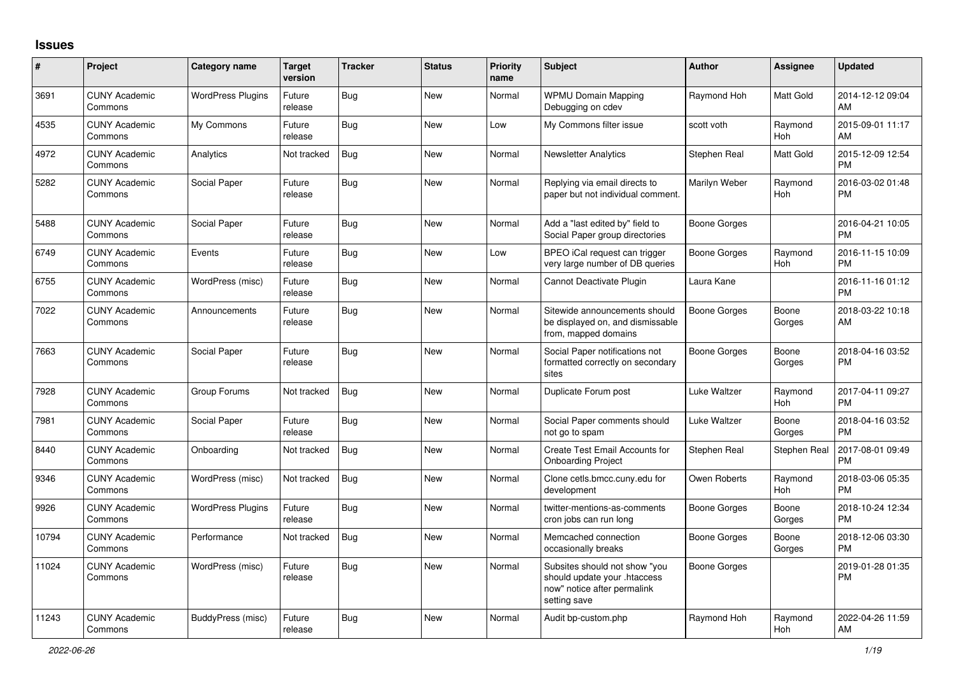## **Issues**

| #     | Project                         | <b>Category name</b>     | <b>Target</b><br>version | <b>Tracker</b> | <b>Status</b> | <b>Priority</b><br>name | <b>Subject</b>                                                                                               | <b>Author</b>       | <b>Assignee</b>       | <b>Updated</b>                |
|-------|---------------------------------|--------------------------|--------------------------|----------------|---------------|-------------------------|--------------------------------------------------------------------------------------------------------------|---------------------|-----------------------|-------------------------------|
| 3691  | <b>CUNY Academic</b><br>Commons | <b>WordPress Plugins</b> | Future<br>release        | Bug            | New           | Normal                  | <b>WPMU Domain Mapping</b><br>Debugging on cdev                                                              | Raymond Hoh         | <b>Matt Gold</b>      | 2014-12-12 09:04<br>AM        |
| 4535  | <b>CUNY Academic</b><br>Commons | My Commons               | Future<br>release        | Bug            | <b>New</b>    | Low                     | My Commons filter issue                                                                                      | scott voth          | Raymond<br><b>Hoh</b> | 2015-09-01 11:17<br>AM        |
| 4972  | <b>CUNY Academic</b><br>Commons | Analytics                | Not tracked              | <b>Bug</b>     | <b>New</b>    | Normal                  | <b>Newsletter Analytics</b>                                                                                  | Stephen Real        | Matt Gold             | 2015-12-09 12:54<br><b>PM</b> |
| 5282  | <b>CUNY Academic</b><br>Commons | Social Paper             | Future<br>release        | <b>Bug</b>     | <b>New</b>    | Normal                  | Replying via email directs to<br>paper but not individual comment.                                           | Marilyn Weber       | Raymond<br>Hoh        | 2016-03-02 01:48<br><b>PM</b> |
| 5488  | <b>CUNY Academic</b><br>Commons | Social Paper             | Future<br>release        | <b>Bug</b>     | <b>New</b>    | Normal                  | Add a "last edited by" field to<br>Social Paper group directories                                            | Boone Gorges        |                       | 2016-04-21 10:05<br><b>PM</b> |
| 6749  | <b>CUNY Academic</b><br>Commons | Events                   | Future<br>release        | Bug            | <b>New</b>    | Low                     | BPEO iCal request can trigger<br>very large number of DB queries                                             | Boone Gorges        | Raymond<br>Hoh        | 2016-11-15 10:09<br><b>PM</b> |
| 6755  | <b>CUNY Academic</b><br>Commons | WordPress (misc)         | Future<br>release        | Bug            | <b>New</b>    | Normal                  | Cannot Deactivate Plugin                                                                                     | Laura Kane          |                       | 2016-11-16 01:12<br><b>PM</b> |
| 7022  | <b>CUNY Academic</b><br>Commons | Announcements            | Future<br>release        | <b>Bug</b>     | <b>New</b>    | Normal                  | Sitewide announcements should<br>be displayed on, and dismissable<br>from, mapped domains                    | <b>Boone Gorges</b> | Boone<br>Gorges       | 2018-03-22 10:18<br>AM        |
| 7663  | <b>CUNY Academic</b><br>Commons | Social Paper             | Future<br>release        | Bug            | <b>New</b>    | Normal                  | Social Paper notifications not<br>formatted correctly on secondary<br>sites                                  | Boone Gorges        | Boone<br>Gorges       | 2018-04-16 03:52<br><b>PM</b> |
| 7928  | <b>CUNY Academic</b><br>Commons | Group Forums             | Not tracked              | Bug            | <b>New</b>    | Normal                  | Duplicate Forum post                                                                                         | Luke Waltzer        | Raymond<br>Hoh        | 2017-04-11 09:27<br><b>PM</b> |
| 7981  | <b>CUNY Academic</b><br>Commons | Social Paper             | Future<br>release        | Bug            | <b>New</b>    | Normal                  | Social Paper comments should<br>not go to spam                                                               | Luke Waltzer        | Boone<br>Gorges       | 2018-04-16 03:52<br><b>PM</b> |
| 8440  | <b>CUNY Academic</b><br>Commons | Onboarding               | Not tracked              | Bug            | <b>New</b>    | Normal                  | Create Test Email Accounts for<br><b>Onboarding Project</b>                                                  | Stephen Real        | Stephen Real          | 2017-08-01 09:49<br><b>PM</b> |
| 9346  | <b>CUNY Academic</b><br>Commons | WordPress (misc)         | Not tracked              | <b>Bug</b>     | <b>New</b>    | Normal                  | Clone cetls.bmcc.cuny.edu for<br>development                                                                 | Owen Roberts        | Raymond<br>Hoh        | 2018-03-06 05:35<br><b>PM</b> |
| 9926  | <b>CUNY Academic</b><br>Commons | <b>WordPress Plugins</b> | Future<br>release        | <b>Bug</b>     | New           | Normal                  | twitter-mentions-as-comments<br>cron jobs can run long                                                       | Boone Gorges        | Boone<br>Gorges       | 2018-10-24 12:34<br><b>PM</b> |
| 10794 | <b>CUNY Academic</b><br>Commons | Performance              | Not tracked              | Bug            | <b>New</b>    | Normal                  | Memcached connection<br>occasionally breaks                                                                  | Boone Gorges        | Boone<br>Gorges       | 2018-12-06 03:30<br><b>PM</b> |
| 11024 | <b>CUNY Academic</b><br>Commons | WordPress (misc)         | Future<br>release        | <b>Bug</b>     | <b>New</b>    | Normal                  | Subsites should not show "you<br>should update your .htaccess<br>now" notice after permalink<br>setting save | Boone Gorges        |                       | 2019-01-28 01:35<br><b>PM</b> |
| 11243 | <b>CUNY Academic</b><br>Commons | BuddyPress (misc)        | Future<br>release        | Bug            | <b>New</b>    | Normal                  | Audit bp-custom.php                                                                                          | Raymond Hoh         | Raymond<br>Hoh        | 2022-04-26 11:59<br>AM        |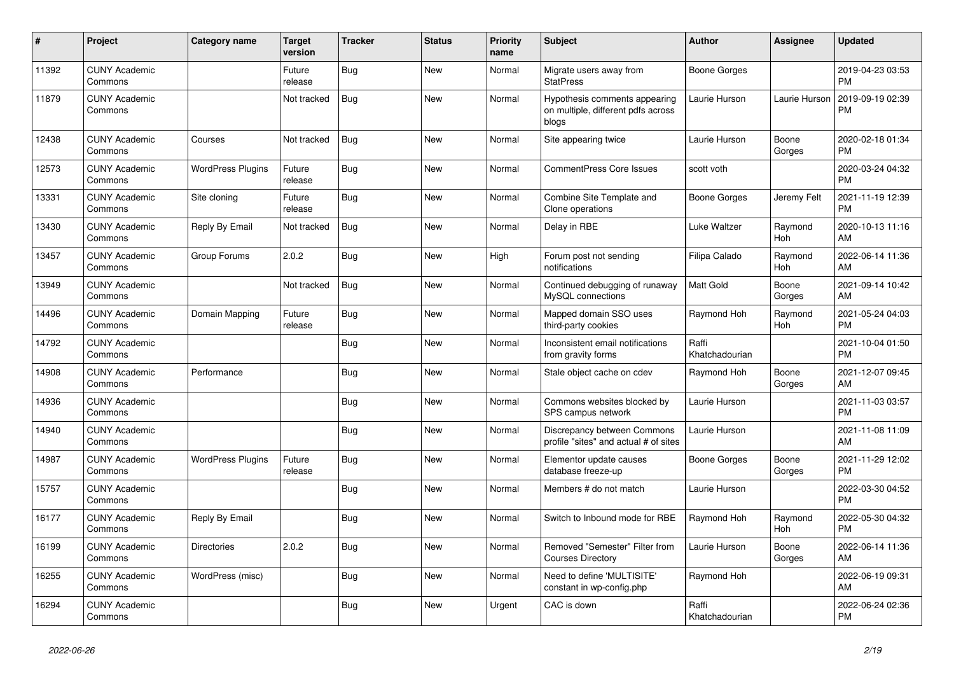| #     | Project                         | <b>Category name</b>     | <b>Target</b><br>version | <b>Tracker</b> | <b>Status</b> | <b>Priority</b><br>name | <b>Subject</b>                                                               | <b>Author</b>           | <b>Assignee</b>       | <b>Updated</b>                |
|-------|---------------------------------|--------------------------|--------------------------|----------------|---------------|-------------------------|------------------------------------------------------------------------------|-------------------------|-----------------------|-------------------------------|
| 11392 | <b>CUNY Academic</b><br>Commons |                          | Future<br>release        | <b>Bug</b>     | New           | Normal                  | Migrate users away from<br><b>StatPress</b>                                  | <b>Boone Gorges</b>     |                       | 2019-04-23 03:53<br><b>PM</b> |
| 11879 | <b>CUNY Academic</b><br>Commons |                          | Not tracked              | Bug            | <b>New</b>    | Normal                  | Hypothesis comments appearing<br>on multiple, different pdfs across<br>blogs | Laurie Hurson           | Laurie Hurson         | 2019-09-19 02:39<br>PM        |
| 12438 | <b>CUNY Academic</b><br>Commons | Courses                  | Not tracked              | Bug            | <b>New</b>    | Normal                  | Site appearing twice                                                         | Laurie Hurson           | Boone<br>Gorges       | 2020-02-18 01:34<br><b>PM</b> |
| 12573 | <b>CUNY Academic</b><br>Commons | <b>WordPress Plugins</b> | Future<br>release        | Bug            | New           | Normal                  | <b>CommentPress Core Issues</b>                                              | scott voth              |                       | 2020-03-24 04:32<br><b>PM</b> |
| 13331 | <b>CUNY Academic</b><br>Commons | Site cloning             | Future<br>release        | <b>Bug</b>     | <b>New</b>    | Normal                  | Combine Site Template and<br>Clone operations                                | <b>Boone Gorges</b>     | Jeremy Felt           | 2021-11-19 12:39<br><b>PM</b> |
| 13430 | <b>CUNY Academic</b><br>Commons | Reply By Email           | Not tracked              | <b>Bug</b>     | <b>New</b>    | Normal                  | Delay in RBE                                                                 | <b>Luke Waltzer</b>     | Raymond<br>Hoh        | 2020-10-13 11:16<br>AM        |
| 13457 | <b>CUNY Academic</b><br>Commons | Group Forums             | 2.0.2                    | <b>Bug</b>     | New           | High                    | Forum post not sending<br>notifications                                      | Filipa Calado           | Raymond<br>Hoh        | 2022-06-14 11:36<br>AM        |
| 13949 | <b>CUNY Academic</b><br>Commons |                          | Not tracked              | Bug            | <b>New</b>    | Normal                  | Continued debugging of runaway<br>MySQL connections                          | Matt Gold               | Boone<br>Gorges       | 2021-09-14 10:42<br>AM        |
| 14496 | <b>CUNY Academic</b><br>Commons | Domain Mapping           | Future<br>release        | Bug            | <b>New</b>    | Normal                  | Mapped domain SSO uses<br>third-party cookies                                | Raymond Hoh             | Raymond<br><b>Hoh</b> | 2021-05-24 04:03<br><b>PM</b> |
| 14792 | <b>CUNY Academic</b><br>Commons |                          |                          | <b>Bug</b>     | <b>New</b>    | Normal                  | Inconsistent email notifications<br>from gravity forms                       | Raffi<br>Khatchadourian |                       | 2021-10-04 01:50<br><b>PM</b> |
| 14908 | <b>CUNY Academic</b><br>Commons | Performance              |                          | <b>Bug</b>     | New           | Normal                  | Stale object cache on cdev                                                   | Raymond Hoh             | Boone<br>Gorges       | 2021-12-07 09:45<br>AM        |
| 14936 | <b>CUNY Academic</b><br>Commons |                          |                          | Bug            | New           | Normal                  | Commons websites blocked by<br>SPS campus network                            | Laurie Hurson           |                       | 2021-11-03 03:57<br><b>PM</b> |
| 14940 | <b>CUNY Academic</b><br>Commons |                          |                          | <b>Bug</b>     | <b>New</b>    | Normal                  | Discrepancy between Commons<br>profile "sites" and actual # of sites         | Laurie Hurson           |                       | 2021-11-08 11:09<br>AM        |
| 14987 | <b>CUNY Academic</b><br>Commons | <b>WordPress Plugins</b> | Future<br>release        | Bug            | <b>New</b>    | Normal                  | Elementor update causes<br>database freeze-up                                | <b>Boone Gorges</b>     | Boone<br>Gorges       | 2021-11-29 12:02<br><b>PM</b> |
| 15757 | <b>CUNY Academic</b><br>Commons |                          |                          | <b>Bug</b>     | <b>New</b>    | Normal                  | Members # do not match                                                       | Laurie Hurson           |                       | 2022-03-30 04:52<br><b>PM</b> |
| 16177 | <b>CUNY Academic</b><br>Commons | Reply By Email           |                          | <b>Bug</b>     | <b>New</b>    | Normal                  | Switch to Inbound mode for RBE                                               | Raymond Hoh             | Raymond<br><b>Hoh</b> | 2022-05-30 04:32<br><b>PM</b> |
| 16199 | <b>CUNY Academic</b><br>Commons | <b>Directories</b>       | 2.0.2                    | Bug            | <b>New</b>    | Normal                  | Removed "Semester" Filter from<br><b>Courses Directory</b>                   | Laurie Hurson           | Boone<br>Gorges       | 2022-06-14 11:36<br>AM        |
| 16255 | <b>CUNY Academic</b><br>Commons | WordPress (misc)         |                          | Bug            | <b>New</b>    | Normal                  | Need to define 'MULTISITE'<br>constant in wp-config.php                      | Raymond Hoh             |                       | 2022-06-19 09:31<br>AM        |
| 16294 | <b>CUNY Academic</b><br>Commons |                          |                          | <b>Bug</b>     | <b>New</b>    | Urgent                  | CAC is down                                                                  | Raffi<br>Khatchadourian |                       | 2022-06-24 02:36<br><b>PM</b> |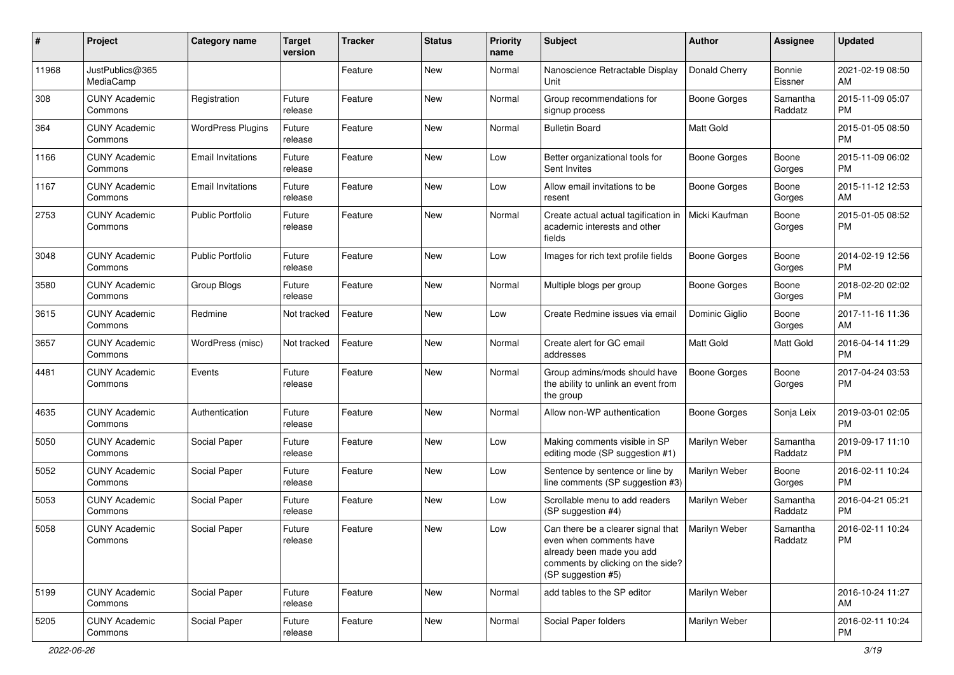| #     | Project                         | <b>Category name</b>     | <b>Target</b><br>version | <b>Tracker</b> | <b>Status</b> | <b>Priority</b><br>name | <b>Subject</b>                                                                                                                                        | Author              | <b>Assignee</b>     | <b>Updated</b>                |
|-------|---------------------------------|--------------------------|--------------------------|----------------|---------------|-------------------------|-------------------------------------------------------------------------------------------------------------------------------------------------------|---------------------|---------------------|-------------------------------|
| 11968 | JustPublics@365<br>MediaCamp    |                          |                          | Feature        | <b>New</b>    | Normal                  | Nanoscience Retractable Display<br>Unit                                                                                                               | Donald Cherry       | Bonnie<br>Eissner   | 2021-02-19 08:50<br>AM        |
| 308   | <b>CUNY Academic</b><br>Commons | Registration             | Future<br>release        | Feature        | <b>New</b>    | Normal                  | Group recommendations for<br>signup process                                                                                                           | <b>Boone Gorges</b> | Samantha<br>Raddatz | 2015-11-09 05:07<br><b>PM</b> |
| 364   | <b>CUNY Academic</b><br>Commons | <b>WordPress Plugins</b> | Future<br>release        | Feature        | New           | Normal                  | <b>Bulletin Board</b>                                                                                                                                 | Matt Gold           |                     | 2015-01-05 08:50<br><b>PM</b> |
| 1166  | <b>CUNY Academic</b><br>Commons | <b>Email Invitations</b> | Future<br>release        | Feature        | New           | Low                     | Better organizational tools for<br>Sent Invites                                                                                                       | Boone Gorges        | Boone<br>Gorges     | 2015-11-09 06:02<br><b>PM</b> |
| 1167  | <b>CUNY Academic</b><br>Commons | <b>Email Invitations</b> | Future<br>release        | Feature        | <b>New</b>    | Low                     | Allow email invitations to be<br>resent                                                                                                               | Boone Gorges        | Boone<br>Gorges     | 2015-11-12 12:53<br>AM        |
| 2753  | <b>CUNY Academic</b><br>Commons | <b>Public Portfolio</b>  | Future<br>release        | Feature        | <b>New</b>    | Normal                  | Create actual actual tagification in<br>academic interests and other<br>fields                                                                        | Micki Kaufman       | Boone<br>Gorges     | 2015-01-05 08:52<br><b>PM</b> |
| 3048  | <b>CUNY Academic</b><br>Commons | <b>Public Portfolio</b>  | Future<br>release        | Feature        | <b>New</b>    | Low                     | Images for rich text profile fields                                                                                                                   | <b>Boone Gorges</b> | Boone<br>Gorges     | 2014-02-19 12:56<br>PM        |
| 3580  | <b>CUNY Academic</b><br>Commons | Group Blogs              | Future<br>release        | Feature        | New           | Normal                  | Multiple blogs per group                                                                                                                              | <b>Boone Gorges</b> | Boone<br>Gorges     | 2018-02-20 02:02<br><b>PM</b> |
| 3615  | <b>CUNY Academic</b><br>Commons | Redmine                  | Not tracked              | Feature        | <b>New</b>    | Low                     | Create Redmine issues via email                                                                                                                       | Dominic Giglio      | Boone<br>Gorges     | 2017-11-16 11:36<br>AM        |
| 3657  | <b>CUNY Academic</b><br>Commons | WordPress (misc)         | Not tracked              | Feature        | <b>New</b>    | Normal                  | Create alert for GC email<br>addresses                                                                                                                | Matt Gold           | Matt Gold           | 2016-04-14 11:29<br><b>PM</b> |
| 4481  | <b>CUNY Academic</b><br>Commons | Events                   | Future<br>release        | Feature        | <b>New</b>    | Normal                  | Group admins/mods should have<br>the ability to unlink an event from<br>the group                                                                     | <b>Boone Gorges</b> | Boone<br>Gorges     | 2017-04-24 03:53<br>PM        |
| 4635  | <b>CUNY Academic</b><br>Commons | Authentication           | Future<br>release        | Feature        | New           | Normal                  | Allow non-WP authentication                                                                                                                           | <b>Boone Gorges</b> | Sonja Leix          | 2019-03-01 02:05<br><b>PM</b> |
| 5050  | <b>CUNY Academic</b><br>Commons | Social Paper             | Future<br>release        | Feature        | New           | Low                     | Making comments visible in SP<br>editing mode (SP suggestion #1)                                                                                      | Marilyn Weber       | Samantha<br>Raddatz | 2019-09-17 11:10<br><b>PM</b> |
| 5052  | <b>CUNY Academic</b><br>Commons | Social Paper             | Future<br>release        | Feature        | <b>New</b>    | Low                     | Sentence by sentence or line by<br>line comments (SP suggestion #3)                                                                                   | Marilyn Weber       | Boone<br>Gorges     | 2016-02-11 10:24<br><b>PM</b> |
| 5053  | <b>CUNY Academic</b><br>Commons | Social Paper             | Future<br>release        | Feature        | <b>New</b>    | Low                     | Scrollable menu to add readers<br>(SP suggestion #4)                                                                                                  | Marilyn Weber       | Samantha<br>Raddatz | 2016-04-21 05:21<br><b>PM</b> |
| 5058  | <b>CUNY Academic</b><br>Commons | Social Paper             | Future<br>release        | Feature        | New           | Low                     | Can there be a clearer signal that<br>even when comments have<br>already been made you add<br>comments by clicking on the side?<br>(SP suggestion #5) | Marilyn Weber       | Samantha<br>Raddatz | 2016-02-11 10:24<br>PM        |
| 5199  | <b>CUNY Academic</b><br>Commons | Social Paper             | Future<br>release        | Feature        | New           | Normal                  | add tables to the SP editor                                                                                                                           | Marilyn Weber       |                     | 2016-10-24 11:27<br>AM        |
| 5205  | <b>CUNY Academic</b><br>Commons | Social Paper             | Future<br>release        | Feature        | New           | Normal                  | Social Paper folders                                                                                                                                  | Marilyn Weber       |                     | 2016-02-11 10:24<br><b>PM</b> |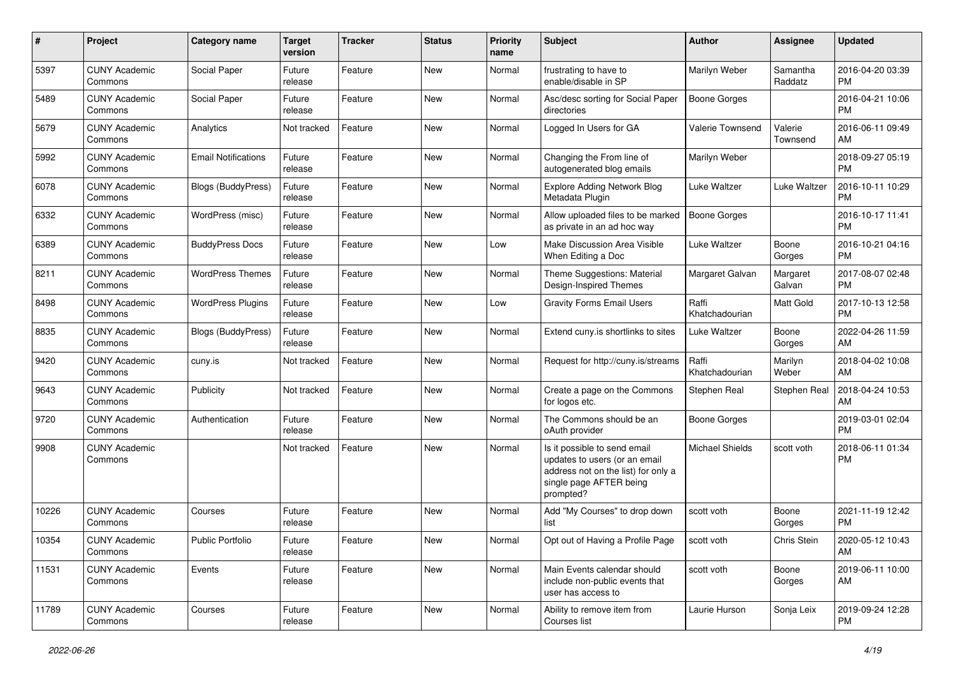| #     | Project                         | <b>Category name</b>       | <b>Target</b><br>version | <b>Tracker</b> | <b>Status</b> | <b>Priority</b><br>name | Subject                                                                                                                                      | Author                  | Assignee            | <b>Updated</b>                |
|-------|---------------------------------|----------------------------|--------------------------|----------------|---------------|-------------------------|----------------------------------------------------------------------------------------------------------------------------------------------|-------------------------|---------------------|-------------------------------|
| 5397  | <b>CUNY Academic</b><br>Commons | Social Paper               | Future<br>release        | Feature        | New           | Normal                  | frustrating to have to<br>enable/disable in SP                                                                                               | Marilyn Weber           | Samantha<br>Raddatz | 2016-04-20 03:39<br><b>PM</b> |
| 5489  | <b>CUNY Academic</b><br>Commons | Social Paper               | Future<br>release        | Feature        | New           | Normal                  | Asc/desc sorting for Social Paper<br>directories                                                                                             | <b>Boone Gorges</b>     |                     | 2016-04-21 10:06<br><b>PM</b> |
| 5679  | <b>CUNY Academic</b><br>Commons | Analytics                  | Not tracked              | Feature        | New           | Normal                  | Logged In Users for GA                                                                                                                       | Valerie Townsend        | Valerie<br>Townsend | 2016-06-11 09:49<br>AM        |
| 5992  | <b>CUNY Academic</b><br>Commons | <b>Email Notifications</b> | Future<br>release        | Feature        | <b>New</b>    | Normal                  | Changing the From line of<br>autogenerated blog emails                                                                                       | Marilyn Weber           |                     | 2018-09-27 05:19<br><b>PM</b> |
| 6078  | <b>CUNY Academic</b><br>Commons | <b>Blogs (BuddyPress)</b>  | Future<br>release        | Feature        | New           | Normal                  | <b>Explore Adding Network Blog</b><br>Metadata Plugin                                                                                        | Luke Waltzer            | Luke Waltzer        | 2016-10-11 10:29<br><b>PM</b> |
| 6332  | <b>CUNY Academic</b><br>Commons | WordPress (misc)           | Future<br>release        | Feature        | New           | Normal                  | Allow uploaded files to be marked<br>as private in an ad hoc way                                                                             | <b>Boone Gorges</b>     |                     | 2016-10-17 11:41<br><b>PM</b> |
| 6389  | <b>CUNY Academic</b><br>Commons | <b>BuddyPress Docs</b>     | Future<br>release        | Feature        | New           | Low                     | Make Discussion Area Visible<br>When Editing a Doc                                                                                           | Luke Waltzer            | Boone<br>Gorges     | 2016-10-21 04:16<br><b>PM</b> |
| 8211  | <b>CUNY Academic</b><br>Commons | <b>WordPress Themes</b>    | Future<br>release        | Feature        | New           | Normal                  | Theme Suggestions: Material<br>Design-Inspired Themes                                                                                        | Margaret Galvan         | Margaret<br>Galvan  | 2017-08-07 02:48<br><b>PM</b> |
| 8498  | <b>CUNY Academic</b><br>Commons | <b>WordPress Plugins</b>   | Future<br>release        | Feature        | New           | Low                     | <b>Gravity Forms Email Users</b>                                                                                                             | Raffi<br>Khatchadourian | <b>Matt Gold</b>    | 2017-10-13 12:58<br><b>PM</b> |
| 8835  | <b>CUNY Academic</b><br>Commons | Blogs (BuddyPress)         | Future<br>release        | Feature        | New           | Normal                  | Extend cuny.is shortlinks to sites                                                                                                           | Luke Waltzer            | Boone<br>Gorges     | 2022-04-26 11:59<br>AM        |
| 9420  | <b>CUNY Academic</b><br>Commons | cuny.is                    | Not tracked              | Feature        | New           | Normal                  | Request for http://cuny.is/streams                                                                                                           | Raffi<br>Khatchadourian | Marilyn<br>Weber    | 2018-04-02 10:08<br>AM        |
| 9643  | <b>CUNY Academic</b><br>Commons | Publicity                  | Not tracked              | Feature        | New           | Normal                  | Create a page on the Commons<br>for logos etc.                                                                                               | Stephen Real            | Stephen Real        | 2018-04-24 10:53<br>AM        |
| 9720  | <b>CUNY Academic</b><br>Commons | Authentication             | Future<br>release        | Feature        | New           | Normal                  | The Commons should be an<br>oAuth provider                                                                                                   | <b>Boone Gorges</b>     |                     | 2019-03-01 02:04<br><b>PM</b> |
| 9908  | <b>CUNY Academic</b><br>Commons |                            | Not tracked              | Feature        | <b>New</b>    | Normal                  | Is it possible to send email<br>updates to users (or an email<br>address not on the list) for only a<br>single page AFTER being<br>prompted? | <b>Michael Shields</b>  | scott voth          | 2018-06-11 01:34<br><b>PM</b> |
| 10226 | <b>CUNY Academic</b><br>Commons | Courses                    | Future<br>release        | Feature        | New           | Normal                  | Add "My Courses" to drop down<br>list                                                                                                        | scott voth              | Boone<br>Gorges     | 2021-11-19 12:42<br>PM        |
| 10354 | <b>CUNY Academic</b><br>Commons | Public Portfolio           | Future<br>release        | Feature        | New           | Normal                  | Opt out of Having a Profile Page                                                                                                             | scott voth              | Chris Stein         | 2020-05-12 10:43<br>AM        |
| 11531 | <b>CUNY Academic</b><br>Commons | Events                     | Future<br>release        | Feature        | New           | Normal                  | Main Events calendar should<br>include non-public events that<br>user has access to                                                          | scott voth              | Boone<br>Gorges     | 2019-06-11 10:00<br>AM        |
| 11789 | <b>CUNY Academic</b><br>Commons | Courses                    | Future<br>release        | Feature        | New           | Normal                  | Ability to remove item from<br>Courses list                                                                                                  | Laurie Hurson           | Sonja Leix          | 2019-09-24 12:28<br><b>PM</b> |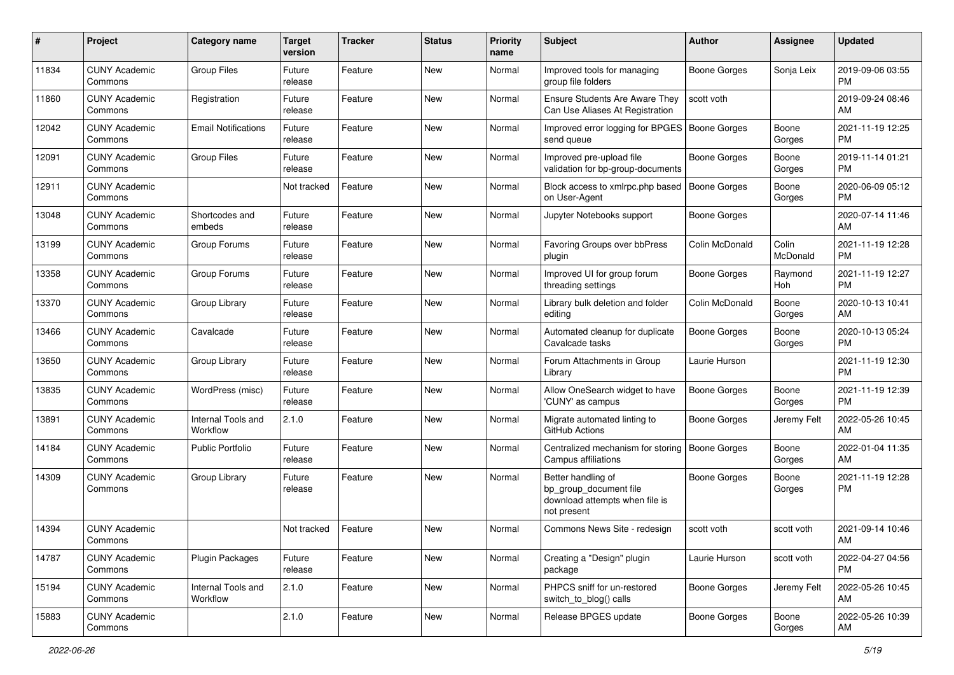| #     | Project                         | <b>Category name</b>           | <b>Target</b><br>version | <b>Tracker</b> | <b>Status</b> | <b>Priority</b><br>name | Subject                                                                                       | Author              | <b>Assignee</b>   | <b>Updated</b>                |
|-------|---------------------------------|--------------------------------|--------------------------|----------------|---------------|-------------------------|-----------------------------------------------------------------------------------------------|---------------------|-------------------|-------------------------------|
| 11834 | <b>CUNY Academic</b><br>Commons | <b>Group Files</b>             | Future<br>release        | Feature        | New           | Normal                  | Improved tools for managing<br>group file folders                                             | <b>Boone Gorges</b> | Sonja Leix        | 2019-09-06 03:55<br><b>PM</b> |
| 11860 | <b>CUNY Academic</b><br>Commons | Registration                   | Future<br>release        | Feature        | <b>New</b>    | Normal                  | Ensure Students Are Aware They<br>Can Use Aliases At Registration                             | scott voth          |                   | 2019-09-24 08:46<br>AM        |
| 12042 | <b>CUNY Academic</b><br>Commons | <b>Email Notifications</b>     | Future<br>release        | Feature        | <b>New</b>    | Normal                  | Improved error logging for BPGES<br>send queue                                                | <b>Boone Gorges</b> | Boone<br>Gorges   | 2021-11-19 12:25<br><b>PM</b> |
| 12091 | <b>CUNY Academic</b><br>Commons | <b>Group Files</b>             | Future<br>release        | Feature        | <b>New</b>    | Normal                  | Improved pre-upload file<br>validation for bp-group-documents                                 | <b>Boone Gorges</b> | Boone<br>Gorges   | 2019-11-14 01:21<br><b>PM</b> |
| 12911 | <b>CUNY Academic</b><br>Commons |                                | Not tracked              | Feature        | <b>New</b>    | Normal                  | Block access to xmlrpc.php based<br>on User-Agent                                             | <b>Boone Gorges</b> | Boone<br>Gorges   | 2020-06-09 05:12<br><b>PM</b> |
| 13048 | <b>CUNY Academic</b><br>Commons | Shortcodes and<br>embeds       | Future<br>release        | Feature        | <b>New</b>    | Normal                  | Jupyter Notebooks support                                                                     | <b>Boone Gorges</b> |                   | 2020-07-14 11:46<br>AM        |
| 13199 | <b>CUNY Academic</b><br>Commons | Group Forums                   | Future<br>release        | Feature        | New           | Normal                  | Favoring Groups over bbPress<br>plugin                                                        | Colin McDonald      | Colin<br>McDonald | 2021-11-19 12:28<br><b>PM</b> |
| 13358 | <b>CUNY Academic</b><br>Commons | Group Forums                   | Future<br>release        | Feature        | New           | Normal                  | Improved UI for group forum<br>threading settings                                             | Boone Gorges        | Raymond<br>Hoh    | 2021-11-19 12:27<br><b>PM</b> |
| 13370 | <b>CUNY Academic</b><br>Commons | Group Library                  | Future<br>release        | Feature        | New           | Normal                  | Library bulk deletion and folder<br>editing                                                   | Colin McDonald      | Boone<br>Gorges   | 2020-10-13 10:41<br>AM        |
| 13466 | <b>CUNY Academic</b><br>Commons | Cavalcade                      | Future<br>release        | Feature        | <b>New</b>    | Normal                  | Automated cleanup for duplicate<br>Cavalcade tasks                                            | Boone Gorges        | Boone<br>Gorges   | 2020-10-13 05:24<br><b>PM</b> |
| 13650 | <b>CUNY Academic</b><br>Commons | Group Library                  | Future<br>release        | Feature        | <b>New</b>    | Normal                  | Forum Attachments in Group<br>Library                                                         | Laurie Hurson       |                   | 2021-11-19 12:30<br><b>PM</b> |
| 13835 | <b>CUNY Academic</b><br>Commons | WordPress (misc)               | Future<br>release        | Feature        | <b>New</b>    | Normal                  | Allow OneSearch widget to have<br>'CUNY' as campus                                            | <b>Boone Gorges</b> | Boone<br>Gorges   | 2021-11-19 12:39<br><b>PM</b> |
| 13891 | <b>CUNY Academic</b><br>Commons | Internal Tools and<br>Workflow | 2.1.0                    | Feature        | <b>New</b>    | Normal                  | Migrate automated linting to<br>GitHub Actions                                                | Boone Gorges        | Jeremy Felt       | 2022-05-26 10:45<br>AM        |
| 14184 | <b>CUNY Academic</b><br>Commons | <b>Public Portfolio</b>        | Future<br>release        | Feature        | <b>New</b>    | Normal                  | Centralized mechanism for storing<br>Campus affiliations                                      | <b>Boone Gorges</b> | Boone<br>Gorges   | 2022-01-04 11:35<br>AM        |
| 14309 | <b>CUNY Academic</b><br>Commons | Group Library                  | Future<br>release        | Feature        | New           | Normal                  | Better handling of<br>bp_group_document file<br>download attempts when file is<br>not present | <b>Boone Gorges</b> | Boone<br>Gorges   | 2021-11-19 12:28<br><b>PM</b> |
| 14394 | <b>CUNY Academic</b><br>Commons |                                | Not tracked              | Feature        | <b>New</b>    | Normal                  | Commons News Site - redesign                                                                  | scott voth          | scott voth        | 2021-09-14 10:46<br>AM        |
| 14787 | <b>CUNY Academic</b><br>Commons | <b>Plugin Packages</b>         | Future<br>release        | Feature        | New           | Normal                  | Creating a "Design" plugin<br>package                                                         | Laurie Hurson       | scott voth        | 2022-04-27 04:56<br>PM        |
| 15194 | <b>CUNY Academic</b><br>Commons | Internal Tools and<br>Workflow | 2.1.0                    | Feature        | New           | Normal                  | PHPCS sniff for un-restored<br>switch_to_blog() calls                                         | Boone Gorges        | Jeremy Felt       | 2022-05-26 10:45<br>AM        |
| 15883 | <b>CUNY Academic</b><br>Commons |                                | 2.1.0                    | Feature        | New           | Normal                  | Release BPGES update                                                                          | Boone Gorges        | Boone<br>Gorges   | 2022-05-26 10:39<br>AM        |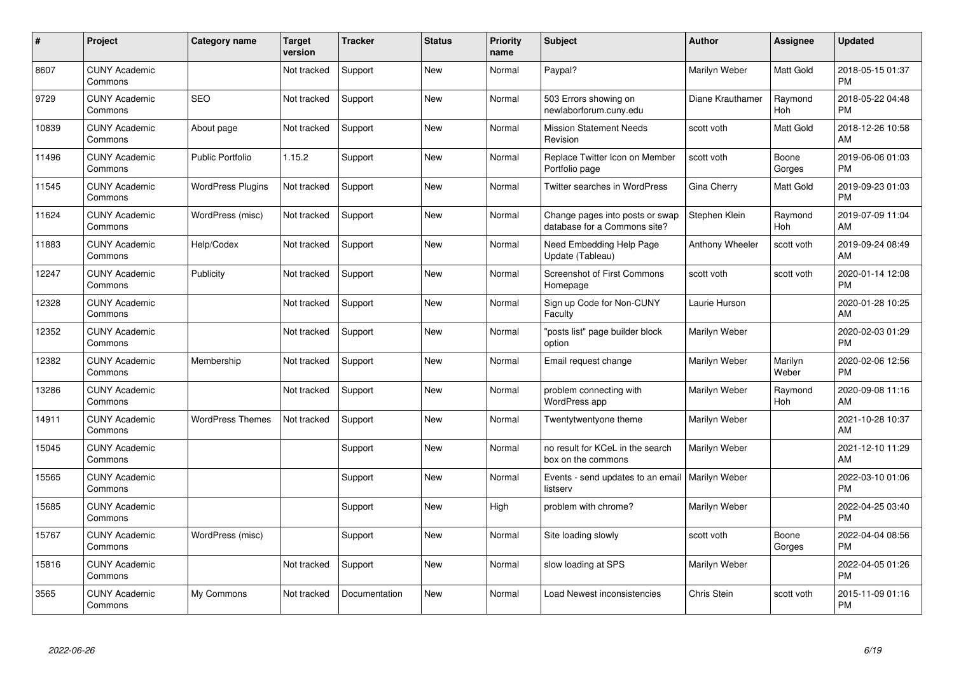| #     | Project                         | <b>Category name</b>     | Target<br>version | <b>Tracker</b> | <b>Status</b> | <b>Priority</b><br>name | <b>Subject</b>                                                  | <b>Author</b>          | <b>Assignee</b>       | <b>Updated</b>                |
|-------|---------------------------------|--------------------------|-------------------|----------------|---------------|-------------------------|-----------------------------------------------------------------|------------------------|-----------------------|-------------------------------|
| 8607  | <b>CUNY Academic</b><br>Commons |                          | Not tracked       | Support        | <b>New</b>    | Normal                  | Paypal?                                                         | Marilyn Weber          | Matt Gold             | 2018-05-15 01:37<br><b>PM</b> |
| 9729  | <b>CUNY Academic</b><br>Commons | <b>SEO</b>               | Not tracked       | Support        | <b>New</b>    | Normal                  | 503 Errors showing on<br>newlaborforum.cuny.edu                 | Diane Krauthamer       | Raymond<br><b>Hoh</b> | 2018-05-22 04:48<br><b>PM</b> |
| 10839 | <b>CUNY Academic</b><br>Commons | About page               | Not tracked       | Support        | New           | Normal                  | <b>Mission Statement Needs</b><br>Revision                      | scott voth             | Matt Gold             | 2018-12-26 10:58<br>AM        |
| 11496 | <b>CUNY Academic</b><br>Commons | <b>Public Portfolio</b>  | 1.15.2            | Support        | <b>New</b>    | Normal                  | Replace Twitter Icon on Member<br>Portfolio page                | scott voth             | Boone<br>Gorges       | 2019-06-06 01:03<br><b>PM</b> |
| 11545 | <b>CUNY Academic</b><br>Commons | <b>WordPress Plugins</b> | Not tracked       | Support        | <b>New</b>    | Normal                  | Twitter searches in WordPress                                   | Gina Cherry            | <b>Matt Gold</b>      | 2019-09-23 01:03<br><b>PM</b> |
| 11624 | <b>CUNY Academic</b><br>Commons | WordPress (misc)         | Not tracked       | Support        | New           | Normal                  | Change pages into posts or swap<br>database for a Commons site? | Stephen Klein          | Raymond<br>Hoh        | 2019-07-09 11:04<br>AM        |
| 11883 | <b>CUNY Academic</b><br>Commons | Help/Codex               | Not tracked       | Support        | <b>New</b>    | Normal                  | Need Embedding Help Page<br>Update (Tableau)                    | <b>Anthony Wheeler</b> | scott voth            | 2019-09-24 08:49<br>AM        |
| 12247 | <b>CUNY Academic</b><br>Commons | Publicity                | Not tracked       | Support        | New           | Normal                  | <b>Screenshot of First Commons</b><br>Homepage                  | scott voth             | scott voth            | 2020-01-14 12:08<br><b>PM</b> |
| 12328 | <b>CUNY Academic</b><br>Commons |                          | Not tracked       | Support        | New           | Normal                  | Sign up Code for Non-CUNY<br>Faculty                            | Laurie Hurson          |                       | 2020-01-28 10:25<br>AM        |
| 12352 | <b>CUNY Academic</b><br>Commons |                          | Not tracked       | Support        | <b>New</b>    | Normal                  | 'posts list" page builder block<br>option                       | Marilyn Weber          |                       | 2020-02-03 01:29<br><b>PM</b> |
| 12382 | <b>CUNY Academic</b><br>Commons | Membership               | Not tracked       | Support        | New           | Normal                  | Email request change                                            | Marilyn Weber          | Marilyn<br>Weber      | 2020-02-06 12:56<br><b>PM</b> |
| 13286 | <b>CUNY Academic</b><br>Commons |                          | Not tracked       | Support        | New           | Normal                  | problem connecting with<br>WordPress app                        | Marilyn Weber          | Raymond<br>Hoh        | 2020-09-08 11:16<br>AM        |
| 14911 | <b>CUNY Academic</b><br>Commons | <b>WordPress Themes</b>  | Not tracked       | Support        | New           | Normal                  | Twentytwentyone theme                                           | Marilyn Weber          |                       | 2021-10-28 10:37<br>AM        |
| 15045 | <b>CUNY Academic</b><br>Commons |                          |                   | Support        | New           | Normal                  | no result for KCeL in the search<br>box on the commons          | Marilyn Weber          |                       | 2021-12-10 11:29<br>AM        |
| 15565 | <b>CUNY Academic</b><br>Commons |                          |                   | Support        | <b>New</b>    | Normal                  | Events - send updates to an email   Marilyn Weber<br>listserv   |                        |                       | 2022-03-10 01:06<br><b>PM</b> |
| 15685 | <b>CUNY Academic</b><br>Commons |                          |                   | Support        | <b>New</b>    | High                    | problem with chrome?                                            | Marilyn Weber          |                       | 2022-04-25 03:40<br><b>PM</b> |
| 15767 | <b>CUNY Academic</b><br>Commons | WordPress (misc)         |                   | Support        | <b>New</b>    | Normal                  | Site loading slowly                                             | scott voth             | Boone<br>Gorges       | 2022-04-04 08:56<br><b>PM</b> |
| 15816 | <b>CUNY Academic</b><br>Commons |                          | Not tracked       | Support        | <b>New</b>    | Normal                  | slow loading at SPS                                             | Marilyn Weber          |                       | 2022-04-05 01:26<br><b>PM</b> |
| 3565  | <b>CUNY Academic</b><br>Commons | My Commons               | Not tracked       | Documentation  | <b>New</b>    | Normal                  | Load Newest inconsistencies                                     | <b>Chris Stein</b>     | scott voth            | 2015-11-09 01:16<br>PM        |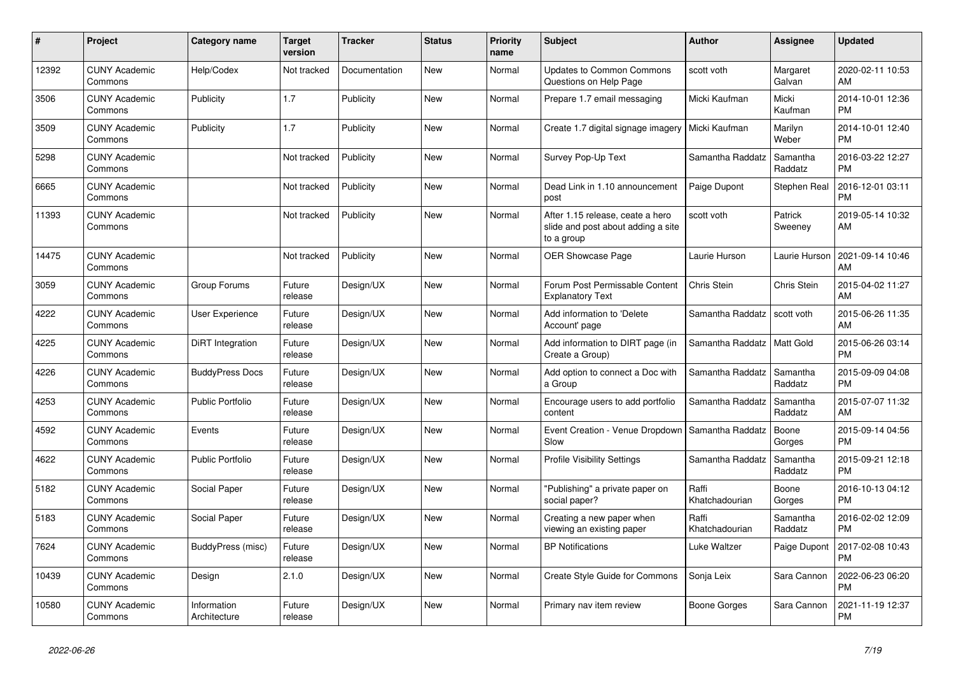| #     | <b>Project</b>                  | Category name               | <b>Target</b><br>version | <b>Tracker</b> | <b>Status</b> | <b>Priority</b><br>name | <b>Subject</b>                                                                       | <b>Author</b>           | <b>Assignee</b>     | <b>Updated</b>                |
|-------|---------------------------------|-----------------------------|--------------------------|----------------|---------------|-------------------------|--------------------------------------------------------------------------------------|-------------------------|---------------------|-------------------------------|
| 12392 | <b>CUNY Academic</b><br>Commons | Help/Codex                  | Not tracked              | Documentation  | <b>New</b>    | Normal                  | <b>Updates to Common Commons</b><br>Questions on Help Page                           | scott voth              | Margaret<br>Galvan  | 2020-02-11 10:53<br>AM        |
| 3506  | <b>CUNY Academic</b><br>Commons | Publicity                   | 1.7                      | Publicity      | <b>New</b>    | Normal                  | Prepare 1.7 email messaging                                                          | Micki Kaufman           | Micki<br>Kaufman    | 2014-10-01 12:36<br><b>PM</b> |
| 3509  | <b>CUNY Academic</b><br>Commons | Publicity                   | 1.7                      | Publicity      | <b>New</b>    | Normal                  | Create 1.7 digital signage imagery                                                   | Micki Kaufman           | Marilyn<br>Weber    | 2014-10-01 12:40<br><b>PM</b> |
| 5298  | <b>CUNY Academic</b><br>Commons |                             | Not tracked              | Publicity      | <b>New</b>    | Normal                  | Survey Pop-Up Text                                                                   | Samantha Raddatz        | Samantha<br>Raddatz | 2016-03-22 12:27<br><b>PM</b> |
| 6665  | <b>CUNY Academic</b><br>Commons |                             | Not tracked              | Publicity      | <b>New</b>    | Normal                  | Dead Link in 1.10 announcement<br>post                                               | Paige Dupont            | Stephen Real        | 2016-12-01 03:11<br><b>PM</b> |
| 11393 | <b>CUNY Academic</b><br>Commons |                             | Not tracked              | Publicity      | New           | Normal                  | After 1.15 release, ceate a hero<br>slide and post about adding a site<br>to a group | scott voth              | Patrick<br>Sweeney  | 2019-05-14 10:32<br>AM        |
| 14475 | <b>CUNY Academic</b><br>Commons |                             | Not tracked              | Publicity      | <b>New</b>    | Normal                  | <b>OER Showcase Page</b>                                                             | Laurie Hurson           | Laurie Hurson       | 2021-09-14 10:46<br>AM        |
| 3059  | <b>CUNY Academic</b><br>Commons | Group Forums                | Future<br>release        | Design/UX      | New           | Normal                  | Forum Post Permissable Content<br><b>Explanatory Text</b>                            | <b>Chris Stein</b>      | Chris Stein         | 2015-04-02 11:27<br>AM        |
| 4222  | <b>CUNY Academic</b><br>Commons | <b>User Experience</b>      | Future<br>release        | Design/UX      | <b>New</b>    | Normal                  | Add information to 'Delete<br>Account' page                                          | Samantha Raddatz        | scott voth          | 2015-06-26 11:35<br>AM        |
| 4225  | <b>CUNY Academic</b><br>Commons | DiRT Integration            | Future<br>release        | Design/UX      | <b>New</b>    | Normal                  | Add information to DIRT page (in<br>Create a Group)                                  | Samantha Raddatz        | Matt Gold           | 2015-06-26 03:14<br><b>PM</b> |
| 4226  | <b>CUNY Academic</b><br>Commons | <b>BuddyPress Docs</b>      | Future<br>release        | Design/UX      | New           | Normal                  | Add option to connect a Doc with<br>a Group                                          | Samantha Raddatz        | Samantha<br>Raddatz | 2015-09-09 04:08<br><b>PM</b> |
| 4253  | <b>CUNY Academic</b><br>Commons | <b>Public Portfolio</b>     | Future<br>release        | Design/UX      | <b>New</b>    | Normal                  | Encourage users to add portfolio<br>content                                          | Samantha Raddatz        | Samantha<br>Raddatz | 2015-07-07 11:32<br>AM        |
| 4592  | <b>CUNY Academic</b><br>Commons | Events                      | Future<br>release        | Design/UX      | <b>New</b>    | Normal                  | Event Creation - Venue Dropdown<br>Slow                                              | Samantha Raddatz        | Boone<br>Gorges     | 2015-09-14 04:56<br><b>PM</b> |
| 4622  | <b>CUNY Academic</b><br>Commons | <b>Public Portfolio</b>     | Future<br>release        | Design/UX      | <b>New</b>    | Normal                  | <b>Profile Visibility Settings</b>                                                   | Samantha Raddatz        | Samantha<br>Raddatz | 2015-09-21 12:18<br><b>PM</b> |
| 5182  | <b>CUNY Academic</b><br>Commons | Social Paper                | Future<br>release        | Design/UX      | <b>New</b>    | Normal                  | 'Publishing" a private paper on<br>social paper?                                     | Raffi<br>Khatchadourian | Boone<br>Gorges     | 2016-10-13 04:12<br><b>PM</b> |
| 5183  | <b>CUNY Academic</b><br>Commons | Social Paper                | Future<br>release        | Design/UX      | <b>New</b>    | Normal                  | Creating a new paper when<br>viewing an existing paper                               | Raffi<br>Khatchadourian | Samantha<br>Raddatz | 2016-02-02 12:09<br><b>PM</b> |
| 7624  | <b>CUNY Academic</b><br>Commons | BuddyPress (misc)           | Future<br>release        | Design/UX      | <b>New</b>    | Normal                  | <b>BP Notifications</b>                                                              | Luke Waltzer            | Paige Dupont        | 2017-02-08 10:43<br><b>PM</b> |
| 10439 | <b>CUNY Academic</b><br>Commons | Design                      | 2.1.0                    | Design/UX      | <b>New</b>    | Normal                  | Create Style Guide for Commons                                                       | Sonja Leix              | Sara Cannon         | 2022-06-23 06:20<br><b>PM</b> |
| 10580 | <b>CUNY Academic</b><br>Commons | Information<br>Architecture | Future<br>release        | Design/UX      | <b>New</b>    | Normal                  | Primary nav item review                                                              | Boone Gorges            | Sara Cannon         | 2021-11-19 12:37<br><b>PM</b> |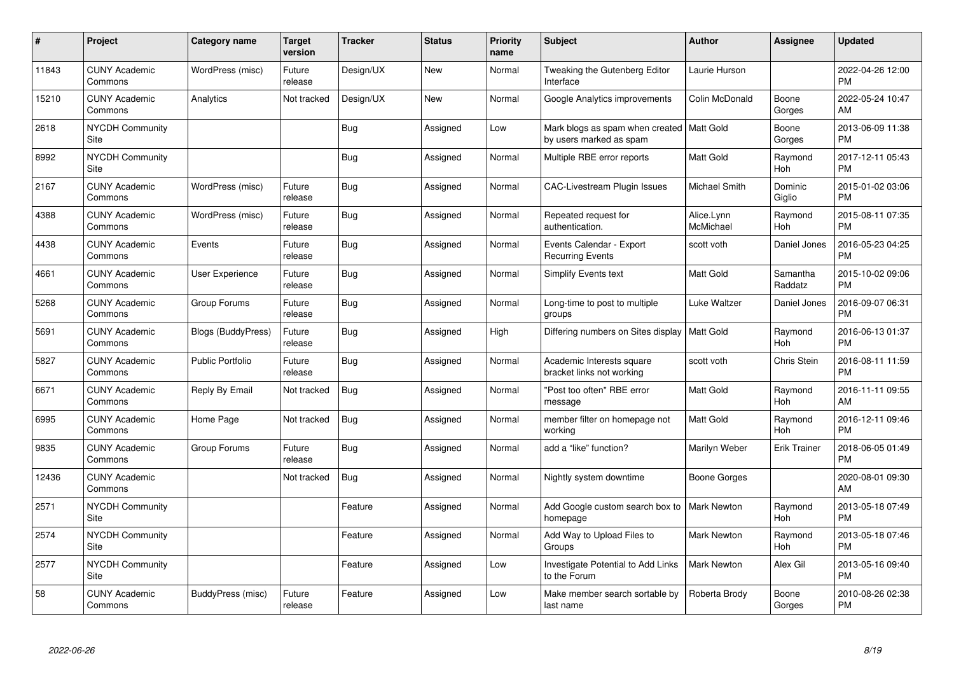| #     | Project                         | <b>Category name</b>      | <b>Target</b><br>version | <b>Tracker</b> | <b>Status</b> | <b>Priority</b><br>name | <b>Subject</b>                                                         | <b>Author</b>           | <b>Assignee</b>       | <b>Updated</b>                |
|-------|---------------------------------|---------------------------|--------------------------|----------------|---------------|-------------------------|------------------------------------------------------------------------|-------------------------|-----------------------|-------------------------------|
| 11843 | <b>CUNY Academic</b><br>Commons | WordPress (misc)          | Future<br>release        | Design/UX      | <b>New</b>    | Normal                  | Tweaking the Gutenberg Editor<br>Interface                             | Laurie Hurson           |                       | 2022-04-26 12:00<br><b>PM</b> |
| 15210 | <b>CUNY Academic</b><br>Commons | Analytics                 | Not tracked              | Design/UX      | <b>New</b>    | Normal                  | Google Analytics improvements                                          | Colin McDonald          | Boone<br>Gorges       | 2022-05-24 10:47<br>AM        |
| 2618  | <b>NYCDH Community</b><br>Site  |                           |                          | <b>Bug</b>     | Assigned      | Low                     | Mark blogs as spam when created   Matt Gold<br>by users marked as spam |                         | Boone<br>Gorges       | 2013-06-09 11:38<br><b>PM</b> |
| 8992  | NYCDH Community<br>Site         |                           |                          | <b>Bug</b>     | Assigned      | Normal                  | Multiple RBE error reports                                             | Matt Gold               | Raymond<br><b>Hoh</b> | 2017-12-11 05:43<br><b>PM</b> |
| 2167  | <b>CUNY Academic</b><br>Commons | WordPress (misc)          | Future<br>release        | <b>Bug</b>     | Assigned      | Normal                  | <b>CAC-Livestream Plugin Issues</b>                                    | Michael Smith           | Dominic<br>Giglio     | 2015-01-02 03:06<br><b>PM</b> |
| 4388  | <b>CUNY Academic</b><br>Commons | WordPress (misc)          | Future<br>release        | <b>Bug</b>     | Assigned      | Normal                  | Repeated request for<br>authentication.                                | Alice.Lynn<br>McMichael | Raymond<br>Hoh        | 2015-08-11 07:35<br><b>PM</b> |
| 4438  | <b>CUNY Academic</b><br>Commons | Events                    | Future<br>release        | <b>Bug</b>     | Assigned      | Normal                  | Events Calendar - Export<br><b>Recurring Events</b>                    | scott voth              | Daniel Jones          | 2016-05-23 04:25<br><b>PM</b> |
| 4661  | <b>CUNY Academic</b><br>Commons | <b>User Experience</b>    | Future<br>release        | <b>Bug</b>     | Assigned      | Normal                  | Simplify Events text                                                   | Matt Gold               | Samantha<br>Raddatz   | 2015-10-02 09:06<br><b>PM</b> |
| 5268  | <b>CUNY Academic</b><br>Commons | Group Forums              | Future<br>release        | <b>Bug</b>     | Assigned      | Normal                  | Long-time to post to multiple<br>groups                                | Luke Waltzer            | Daniel Jones          | 2016-09-07 06:31<br><b>PM</b> |
| 5691  | <b>CUNY Academic</b><br>Commons | <b>Blogs (BuddyPress)</b> | Future<br>release        | Bug            | Assigned      | High                    | Differing numbers on Sites display   Matt Gold                         |                         | Raymond<br>Hoh        | 2016-06-13 01:37<br><b>PM</b> |
| 5827  | <b>CUNY Academic</b><br>Commons | <b>Public Portfolio</b>   | Future<br>release        | <b>Bug</b>     | Assigned      | Normal                  | Academic Interests square<br>bracket links not working                 | scott voth              | Chris Stein           | 2016-08-11 11:59<br><b>PM</b> |
| 6671  | <b>CUNY Academic</b><br>Commons | Reply By Email            | Not tracked              | Bug            | Assigned      | Normal                  | "Post too often" RBE error<br>message                                  | Matt Gold               | Raymond<br>Hoh        | 2016-11-11 09:55<br>AM        |
| 6995  | <b>CUNY Academic</b><br>Commons | Home Page                 | Not tracked              | <b>Bug</b>     | Assigned      | Normal                  | member filter on homepage not<br>working                               | <b>Matt Gold</b>        | Raymond<br>Hoh        | 2016-12-11 09:46<br><b>PM</b> |
| 9835  | <b>CUNY Academic</b><br>Commons | Group Forums              | Future<br>release        | Bug            | Assigned      | Normal                  | add a "like" function?                                                 | Marilyn Weber           | <b>Erik Trainer</b>   | 2018-06-05 01:49<br><b>PM</b> |
| 12436 | <b>CUNY Academic</b><br>Commons |                           | Not tracked              | Bug            | Assigned      | Normal                  | Nightly system downtime                                                | Boone Gorges            |                       | 2020-08-01 09:30<br>AM        |
| 2571  | <b>NYCDH Community</b><br>Site  |                           |                          | Feature        | Assigned      | Normal                  | Add Google custom search box to<br>homepage                            | <b>Mark Newton</b>      | Raymond<br>Hoh        | 2013-05-18 07:49<br><b>PM</b> |
| 2574  | <b>NYCDH Community</b><br>Site  |                           |                          | Feature        | Assigned      | Normal                  | Add Way to Upload Files to<br>Groups                                   | Mark Newton             | Raymond<br><b>Hoh</b> | 2013-05-18 07:46<br><b>PM</b> |
| 2577  | <b>NYCDH Community</b><br>Site  |                           |                          | Feature        | Assigned      | Low                     | Investigate Potential to Add Links<br>to the Forum                     | <b>Mark Newton</b>      | Alex Gil              | 2013-05-16 09:40<br><b>PM</b> |
| 58    | <b>CUNY Academic</b><br>Commons | BuddyPress (misc)         | Future<br>release        | Feature        | Assigned      | Low                     | Make member search sortable by<br>last name                            | Roberta Brody           | Boone<br>Gorges       | 2010-08-26 02:38<br>PM        |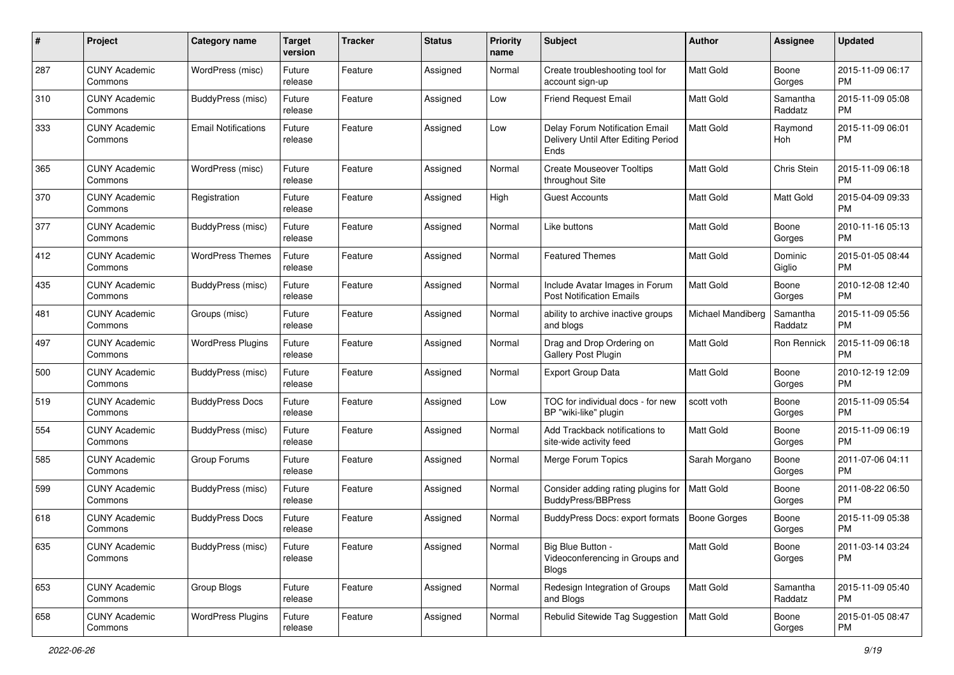| #   | Project                         | <b>Category name</b>       | <b>Target</b><br>version | <b>Tracker</b> | <b>Status</b> | <b>Priority</b><br>name | Subject                                                                              | Author              | <b>Assignee</b>     | <b>Updated</b>                |
|-----|---------------------------------|----------------------------|--------------------------|----------------|---------------|-------------------------|--------------------------------------------------------------------------------------|---------------------|---------------------|-------------------------------|
| 287 | <b>CUNY Academic</b><br>Commons | WordPress (misc)           | Future<br>release        | Feature        | Assigned      | Normal                  | Create troubleshooting tool for<br>account sign-up                                   | <b>Matt Gold</b>    | Boone<br>Gorges     | 2015-11-09 06:17<br><b>PM</b> |
| 310 | <b>CUNY Academic</b><br>Commons | BuddyPress (misc)          | Future<br>release        | Feature        | Assigned      | Low                     | <b>Friend Request Email</b>                                                          | <b>Matt Gold</b>    | Samantha<br>Raddatz | 2015-11-09 05:08<br><b>PM</b> |
| 333 | <b>CUNY Academic</b><br>Commons | <b>Email Notifications</b> | Future<br>release        | Feature        | Assigned      | Low                     | Delay Forum Notification Email<br>Delivery Until After Editing Period<br><b>Ends</b> | <b>Matt Gold</b>    | Raymond<br>Hoh      | 2015-11-09 06:01<br><b>PM</b> |
| 365 | <b>CUNY Academic</b><br>Commons | WordPress (misc)           | Future<br>release        | Feature        | Assigned      | Normal                  | <b>Create Mouseover Tooltips</b><br>throughout Site                                  | Matt Gold           | Chris Stein         | 2015-11-09 06:18<br><b>PM</b> |
| 370 | <b>CUNY Academic</b><br>Commons | Registration               | Future<br>release        | Feature        | Assigned      | High                    | <b>Guest Accounts</b>                                                                | <b>Matt Gold</b>    | Matt Gold           | 2015-04-09 09:33<br><b>PM</b> |
| 377 | <b>CUNY Academic</b><br>Commons | BuddyPress (misc)          | Future<br>release        | Feature        | Assigned      | Normal                  | Like buttons                                                                         | <b>Matt Gold</b>    | Boone<br>Gorges     | 2010-11-16 05:13<br><b>PM</b> |
| 412 | <b>CUNY Academic</b><br>Commons | <b>WordPress Themes</b>    | Future<br>release        | Feature        | Assigned      | Normal                  | <b>Featured Themes</b>                                                               | <b>Matt Gold</b>    | Dominic<br>Giglio   | 2015-01-05 08:44<br><b>PM</b> |
| 435 | <b>CUNY Academic</b><br>Commons | BuddyPress (misc)          | Future<br>release        | Feature        | Assigned      | Normal                  | Include Avatar Images in Forum<br><b>Post Notification Emails</b>                    | <b>Matt Gold</b>    | Boone<br>Gorges     | 2010-12-08 12:40<br><b>PM</b> |
| 481 | <b>CUNY Academic</b><br>Commons | Groups (misc)              | Future<br>release        | Feature        | Assigned      | Normal                  | ability to archive inactive groups<br>and blogs                                      | Michael Mandiberg   | Samantha<br>Raddatz | 2015-11-09 05:56<br><b>PM</b> |
| 497 | <b>CUNY Academic</b><br>Commons | <b>WordPress Plugins</b>   | Future<br>release        | Feature        | Assigned      | Normal                  | Drag and Drop Ordering on<br>Gallery Post Plugin                                     | <b>Matt Gold</b>    | Ron Rennick         | 2015-11-09 06:18<br><b>PM</b> |
| 500 | <b>CUNY Academic</b><br>Commons | BuddyPress (misc)          | Future<br>release        | Feature        | Assigned      | Normal                  | <b>Export Group Data</b>                                                             | <b>Matt Gold</b>    | Boone<br>Gorges     | 2010-12-19 12:09<br><b>PM</b> |
| 519 | <b>CUNY Academic</b><br>Commons | <b>BuddyPress Docs</b>     | Future<br>release        | Feature        | Assigned      | Low                     | TOC for individual docs - for new<br>BP "wiki-like" plugin                           | scott voth          | Boone<br>Gorges     | 2015-11-09 05:54<br><b>PM</b> |
| 554 | <b>CUNY Academic</b><br>Commons | BuddyPress (misc)          | Future<br>release        | Feature        | Assigned      | Normal                  | Add Trackback notifications to<br>site-wide activity feed                            | <b>Matt Gold</b>    | Boone<br>Gorges     | 2015-11-09 06:19<br><b>PM</b> |
| 585 | <b>CUNY Academic</b><br>Commons | Group Forums               | Future<br>release        | Feature        | Assigned      | Normal                  | Merge Forum Topics                                                                   | Sarah Morgano       | Boone<br>Gorges     | 2011-07-06 04:11<br><b>PM</b> |
| 599 | <b>CUNY Academic</b><br>Commons | BuddyPress (misc)          | Future<br>release        | Feature        | Assigned      | Normal                  | Consider adding rating plugins for<br><b>BuddyPress/BBPress</b>                      | <b>Matt Gold</b>    | Boone<br>Gorges     | 2011-08-22 06:50<br><b>PM</b> |
| 618 | <b>CUNY Academic</b><br>Commons | <b>BuddyPress Docs</b>     | Future<br>release        | Feature        | Assigned      | Normal                  | BuddyPress Docs: export formats                                                      | <b>Boone Gorges</b> | Boone<br>Gorges     | 2015-11-09 05:38<br><b>PM</b> |
| 635 | <b>CUNY Academic</b><br>Commons | BuddyPress (misc)          | Future<br>release        | Feature        | Assigned      | Normal                  | Big Blue Button -<br>Videoconferencing in Groups and<br><b>Blogs</b>                 | Matt Gold           | Boone<br>Gorges     | 2011-03-14 03:24<br>PM        |
| 653 | <b>CUNY Academic</b><br>Commons | Group Blogs                | Future<br>release        | Feature        | Assigned      | Normal                  | Redesign Integration of Groups<br>and Blogs                                          | Matt Gold           | Samantha<br>Raddatz | 2015-11-09 05:40<br>PM        |
| 658 | <b>CUNY Academic</b><br>Commons | <b>WordPress Plugins</b>   | Future<br>release        | Feature        | Assigned      | Normal                  | Rebulid Sitewide Tag Suggestion                                                      | Matt Gold           | Boone<br>Gorges     | 2015-01-05 08:47<br>PM        |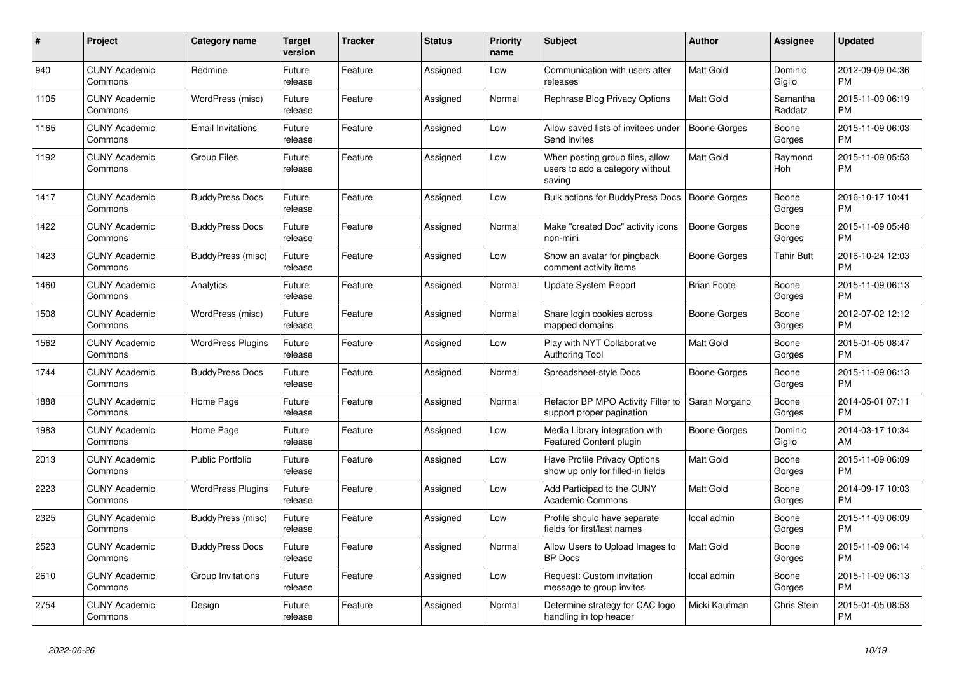| #    | Project                         | <b>Category name</b>     | <b>Target</b><br>version | <b>Tracker</b> | <b>Status</b> | <b>Priority</b><br>name | <b>Subject</b>                                                               | Author              | Assignee            | <b>Updated</b>                |
|------|---------------------------------|--------------------------|--------------------------|----------------|---------------|-------------------------|------------------------------------------------------------------------------|---------------------|---------------------|-------------------------------|
| 940  | <b>CUNY Academic</b><br>Commons | Redmine                  | Future<br>release        | Feature        | Assigned      | Low                     | Communication with users after<br>releases                                   | <b>Matt Gold</b>    | Dominic<br>Giglio   | 2012-09-09 04:36<br><b>PM</b> |
| 1105 | <b>CUNY Academic</b><br>Commons | WordPress (misc)         | Future<br>release        | Feature        | Assigned      | Normal                  | Rephrase Blog Privacy Options                                                | <b>Matt Gold</b>    | Samantha<br>Raddatz | 2015-11-09 06:19<br><b>PM</b> |
| 1165 | <b>CUNY Academic</b><br>Commons | <b>Email Invitations</b> | Future<br>release        | Feature        | Assigned      | Low                     | Allow saved lists of invitees under<br>Send Invites                          | Boone Gorges        | Boone<br>Gorges     | 2015-11-09 06:03<br><b>PM</b> |
| 1192 | <b>CUNY Academic</b><br>Commons | <b>Group Files</b>       | Future<br>release        | Feature        | Assigned      | Low                     | When posting group files, allow<br>users to add a category without<br>saving | <b>Matt Gold</b>    | Raymond<br>Hoh      | 2015-11-09 05:53<br><b>PM</b> |
| 1417 | <b>CUNY Academic</b><br>Commons | <b>BuddyPress Docs</b>   | Future<br>release        | Feature        | Assigned      | Low                     | <b>Bulk actions for BuddyPress Docs</b>                                      | <b>Boone Gorges</b> | Boone<br>Gorges     | 2016-10-17 10:41<br><b>PM</b> |
| 1422 | <b>CUNY Academic</b><br>Commons | <b>BuddyPress Docs</b>   | Future<br>release        | Feature        | Assigned      | Normal                  | Make "created Doc" activity icons<br>non-mini                                | Boone Gorges        | Boone<br>Gorges     | 2015-11-09 05:48<br><b>PM</b> |
| 1423 | <b>CUNY Academic</b><br>Commons | BuddyPress (misc)        | Future<br>release        | Feature        | Assigned      | Low                     | Show an avatar for pingback<br>comment activity items                        | Boone Gorges        | Tahir Butt          | 2016-10-24 12:03<br>PM        |
| 1460 | <b>CUNY Academic</b><br>Commons | Analytics                | Future<br>release        | Feature        | Assigned      | Normal                  | Update System Report                                                         | <b>Brian Foote</b>  | Boone<br>Gorges     | 2015-11-09 06:13<br><b>PM</b> |
| 1508 | <b>CUNY Academic</b><br>Commons | WordPress (misc)         | Future<br>release        | Feature        | Assigned      | Normal                  | Share login cookies across<br>mapped domains                                 | <b>Boone Gorges</b> | Boone<br>Gorges     | 2012-07-02 12:12<br><b>PM</b> |
| 1562 | <b>CUNY Academic</b><br>Commons | <b>WordPress Plugins</b> | Future<br>release        | Feature        | Assigned      | Low                     | Play with NYT Collaborative<br><b>Authoring Tool</b>                         | <b>Matt Gold</b>    | Boone<br>Gorges     | 2015-01-05 08:47<br><b>PM</b> |
| 1744 | <b>CUNY Academic</b><br>Commons | <b>BuddyPress Docs</b>   | Future<br>release        | Feature        | Assigned      | Normal                  | Spreadsheet-style Docs                                                       | Boone Gorges        | Boone<br>Gorges     | 2015-11-09 06:13<br><b>PM</b> |
| 1888 | <b>CUNY Academic</b><br>Commons | Home Page                | Future<br>release        | Feature        | Assigned      | Normal                  | Refactor BP MPO Activity Filter to<br>support proper pagination              | Sarah Morgano       | Boone<br>Gorges     | 2014-05-01 07:11<br><b>PM</b> |
| 1983 | <b>CUNY Academic</b><br>Commons | Home Page                | Future<br>release        | Feature        | Assigned      | Low                     | Media Library integration with<br>Featured Content plugin                    | Boone Gorges        | Dominic<br>Giglio   | 2014-03-17 10:34<br>AM        |
| 2013 | <b>CUNY Academic</b><br>Commons | <b>Public Portfolio</b>  | Future<br>release        | Feature        | Assigned      | Low                     | Have Profile Privacy Options<br>show up only for filled-in fields            | <b>Matt Gold</b>    | Boone<br>Gorges     | 2015-11-09 06:09<br><b>PM</b> |
| 2223 | <b>CUNY Academic</b><br>Commons | <b>WordPress Plugins</b> | Future<br>release        | Feature        | Assigned      | Low                     | Add Participad to the CUNY<br><b>Academic Commons</b>                        | Matt Gold           | Boone<br>Gorges     | 2014-09-17 10:03<br><b>PM</b> |
| 2325 | <b>CUNY Academic</b><br>Commons | BuddyPress (misc)        | Future<br>release        | Feature        | Assigned      | Low                     | Profile should have separate<br>fields for first/last names                  | local admin         | Boone<br>Gorges     | 2015-11-09 06:09<br><b>PM</b> |
| 2523 | <b>CUNY Academic</b><br>Commons | <b>BuddyPress Docs</b>   | Future<br>release        | Feature        | Assigned      | Normal                  | Allow Users to Upload Images to<br><b>BP</b> Docs                            | <b>Matt Gold</b>    | Boone<br>Gorges     | 2015-11-09 06:14<br><b>PM</b> |
| 2610 | <b>CUNY Academic</b><br>Commons | Group Invitations        | Future<br>release        | Feature        | Assigned      | Low                     | Request: Custom invitation<br>message to group invites                       | local admin         | Boone<br>Gorges     | 2015-11-09 06:13<br><b>PM</b> |
| 2754 | <b>CUNY Academic</b><br>Commons | Design                   | Future<br>release        | Feature        | Assigned      | Normal                  | Determine strategy for CAC logo<br>handling in top header                    | Micki Kaufman       | Chris Stein         | 2015-01-05 08:53<br><b>PM</b> |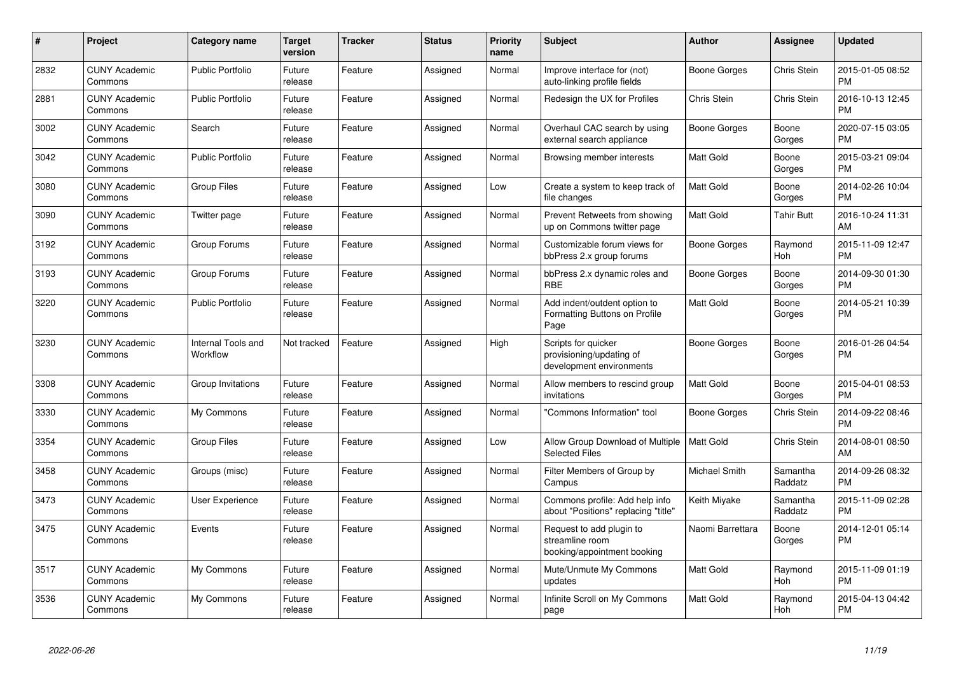| $\#$ | Project                         | Category name                  | <b>Target</b><br>version | <b>Tracker</b> | <b>Status</b> | <b>Priority</b><br>name | <b>Subject</b>                                                              | Author              | Assignee            | <b>Updated</b>                |
|------|---------------------------------|--------------------------------|--------------------------|----------------|---------------|-------------------------|-----------------------------------------------------------------------------|---------------------|---------------------|-------------------------------|
| 2832 | <b>CUNY Academic</b><br>Commons | <b>Public Portfolio</b>        | Future<br>release        | Feature        | Assigned      | Normal                  | Improve interface for (not)<br>auto-linking profile fields                  | Boone Gorges        | Chris Stein         | 2015-01-05 08:52<br><b>PM</b> |
| 2881 | <b>CUNY Academic</b><br>Commons | <b>Public Portfolio</b>        | Future<br>release        | Feature        | Assigned      | Normal                  | Redesign the UX for Profiles                                                | Chris Stein         | Chris Stein         | 2016-10-13 12:45<br>PM        |
| 3002 | <b>CUNY Academic</b><br>Commons | Search                         | Future<br>release        | Feature        | Assigned      | Normal                  | Overhaul CAC search by using<br>external search appliance                   | Boone Gorges        | Boone<br>Gorges     | 2020-07-15 03:05<br><b>PM</b> |
| 3042 | <b>CUNY Academic</b><br>Commons | <b>Public Portfolio</b>        | Future<br>release        | Feature        | Assigned      | Normal                  | Browsing member interests                                                   | Matt Gold           | Boone<br>Gorges     | 2015-03-21 09:04<br><b>PM</b> |
| 3080 | <b>CUNY Academic</b><br>Commons | Group Files                    | Future<br>release        | Feature        | Assigned      | Low                     | Create a system to keep track of<br>file changes                            | Matt Gold           | Boone<br>Gorges     | 2014-02-26 10:04<br><b>PM</b> |
| 3090 | <b>CUNY Academic</b><br>Commons | Twitter page                   | Future<br>release        | Feature        | Assigned      | Normal                  | Prevent Retweets from showing<br>up on Commons twitter page                 | <b>Matt Gold</b>    | <b>Tahir Butt</b>   | 2016-10-24 11:31<br>AM        |
| 3192 | <b>CUNY Academic</b><br>Commons | Group Forums                   | Future<br>release        | Feature        | Assigned      | Normal                  | Customizable forum views for<br>bbPress 2.x group forums                    | Boone Gorges        | Raymond<br>Hoh      | 2015-11-09 12:47<br><b>PM</b> |
| 3193 | <b>CUNY Academic</b><br>Commons | Group Forums                   | Future<br>release        | Feature        | Assigned      | Normal                  | bbPress 2.x dynamic roles and<br><b>RBE</b>                                 | Boone Gorges        | Boone<br>Gorges     | 2014-09-30 01:30<br><b>PM</b> |
| 3220 | <b>CUNY Academic</b><br>Commons | <b>Public Portfolio</b>        | Future<br>release        | Feature        | Assigned      | Normal                  | Add indent/outdent option to<br>Formatting Buttons on Profile<br>Page       | <b>Matt Gold</b>    | Boone<br>Gorges     | 2014-05-21 10:39<br><b>PM</b> |
| 3230 | <b>CUNY Academic</b><br>Commons | Internal Tools and<br>Workflow | Not tracked              | Feature        | Assigned      | High                    | Scripts for quicker<br>provisioning/updating of<br>development environments | <b>Boone Gorges</b> | Boone<br>Gorges     | 2016-01-26 04:54<br><b>PM</b> |
| 3308 | <b>CUNY Academic</b><br>Commons | Group Invitations              | Future<br>release        | Feature        | Assigned      | Normal                  | Allow members to rescind group<br>invitations                               | <b>Matt Gold</b>    | Boone<br>Gorges     | 2015-04-01 08:53<br><b>PM</b> |
| 3330 | <b>CUNY Academic</b><br>Commons | My Commons                     | Future<br>release        | Feature        | Assigned      | Normal                  | 'Commons Information" tool                                                  | Boone Gorges        | Chris Stein         | 2014-09-22 08:46<br><b>PM</b> |
| 3354 | <b>CUNY Academic</b><br>Commons | <b>Group Files</b>             | Future<br>release        | Feature        | Assigned      | Low                     | Allow Group Download of Multiple<br><b>Selected Files</b>                   | <b>Matt Gold</b>    | Chris Stein         | 2014-08-01 08:50<br>AM        |
| 3458 | <b>CUNY Academic</b><br>Commons | Groups (misc)                  | Future<br>release        | Feature        | Assigned      | Normal                  | Filter Members of Group by<br>Campus                                        | Michael Smith       | Samantha<br>Raddatz | 2014-09-26 08:32<br><b>PM</b> |
| 3473 | <b>CUNY Academic</b><br>Commons | User Experience                | Future<br>release        | Feature        | Assigned      | Normal                  | Commons profile: Add help info<br>about "Positions" replacing "title"       | Keith Miyake        | Samantha<br>Raddatz | 2015-11-09 02:28<br><b>PM</b> |
| 3475 | <b>CUNY Academic</b><br>Commons | Events                         | Future<br>release        | Feature        | Assigned      | Normal                  | Request to add plugin to<br>streamline room<br>booking/appointment booking  | Naomi Barrettara    | Boone<br>Gorges     | 2014-12-01 05:14<br><b>PM</b> |
| 3517 | <b>CUNY Academic</b><br>Commons | My Commons                     | Future<br>release        | Feature        | Assigned      | Normal                  | Mute/Unmute My Commons<br>updates                                           | <b>Matt Gold</b>    | Raymond<br>Hoh      | 2015-11-09 01:19<br><b>PM</b> |
| 3536 | <b>CUNY Academic</b><br>Commons | My Commons                     | Future<br>release        | Feature        | Assigned      | Normal                  | Infinite Scroll on My Commons<br>page                                       | <b>Matt Gold</b>    | Raymond<br>Hoh      | 2015-04-13 04:42<br>PM        |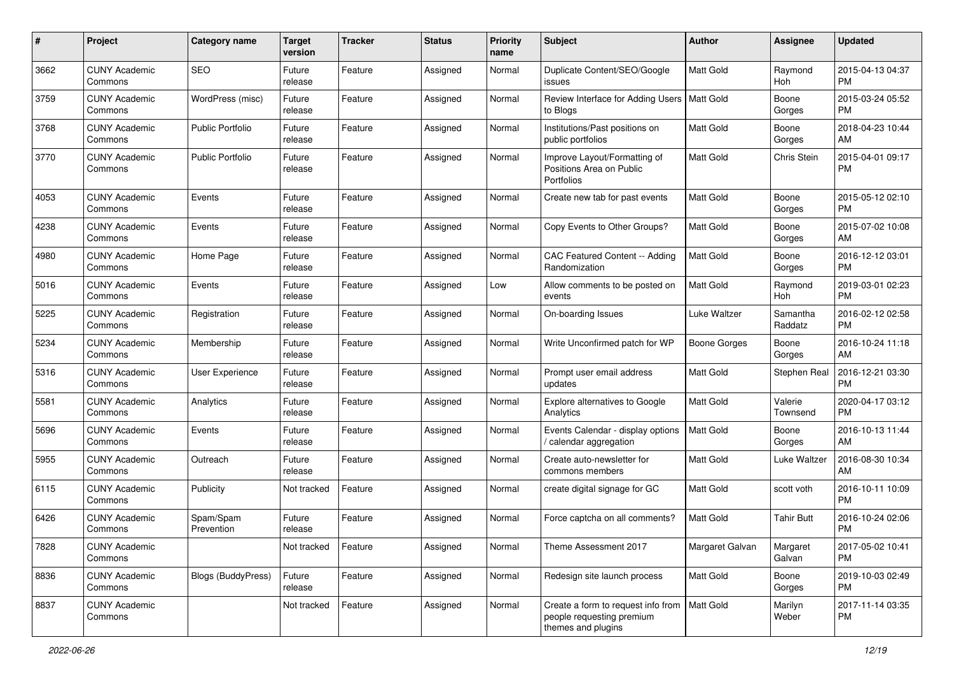| #    | Project                         | <b>Category name</b>    | <b>Target</b><br>version | <b>Tracker</b> | <b>Status</b> | <b>Priority</b><br>name | <b>Subject</b>                                                                        | Author              | Assignee            | <b>Updated</b>                |
|------|---------------------------------|-------------------------|--------------------------|----------------|---------------|-------------------------|---------------------------------------------------------------------------------------|---------------------|---------------------|-------------------------------|
| 3662 | <b>CUNY Academic</b><br>Commons | <b>SEO</b>              | Future<br>release        | Feature        | Assigned      | Normal                  | Duplicate Content/SEO/Google<br>issues                                                | <b>Matt Gold</b>    | Raymond<br>Hoh      | 2015-04-13 04:37<br><b>PM</b> |
| 3759 | <b>CUNY Academic</b><br>Commons | WordPress (misc)        | Future<br>release        | Feature        | Assigned      | Normal                  | Review Interface for Adding Users<br>to Blogs                                         | <b>Matt Gold</b>    | Boone<br>Gorges     | 2015-03-24 05:52<br><b>PM</b> |
| 3768 | <b>CUNY Academic</b><br>Commons | <b>Public Portfolio</b> | Future<br>release        | Feature        | Assigned      | Normal                  | Institutions/Past positions on<br>public portfolios                                   | Matt Gold           | Boone<br>Gorges     | 2018-04-23 10:44<br>AM        |
| 3770 | <b>CUNY Academic</b><br>Commons | <b>Public Portfolio</b> | Future<br>release        | Feature        | Assigned      | Normal                  | Improve Layout/Formatting of<br>Positions Area on Public<br>Portfolios                | Matt Gold           | Chris Stein         | 2015-04-01 09:17<br><b>PM</b> |
| 4053 | <b>CUNY Academic</b><br>Commons | Events                  | Future<br>release        | Feature        | Assigned      | Normal                  | Create new tab for past events                                                        | <b>Matt Gold</b>    | Boone<br>Gorges     | 2015-05-12 02:10<br><b>PM</b> |
| 4238 | <b>CUNY Academic</b><br>Commons | Events                  | Future<br>release        | Feature        | Assigned      | Normal                  | Copy Events to Other Groups?                                                          | <b>Matt Gold</b>    | Boone<br>Gorges     | 2015-07-02 10:08<br>AM        |
| 4980 | <b>CUNY Academic</b><br>Commons | Home Page               | Future<br>release        | Feature        | Assigned      | Normal                  | CAC Featured Content -- Adding<br>Randomization                                       | <b>Matt Gold</b>    | Boone<br>Gorges     | 2016-12-12 03:01<br><b>PM</b> |
| 5016 | <b>CUNY Academic</b><br>Commons | Events                  | Future<br>release        | Feature        | Assigned      | Low                     | Allow comments to be posted on<br>events                                              | Matt Gold           | Raymond<br>Hoh      | 2019-03-01 02:23<br><b>PM</b> |
| 5225 | <b>CUNY Academic</b><br>Commons | Registration            | Future<br>release        | Feature        | Assigned      | Normal                  | On-boarding Issues                                                                    | Luke Waltzer        | Samantha<br>Raddatz | 2016-02-12 02:58<br><b>PM</b> |
| 5234 | <b>CUNY Academic</b><br>Commons | Membership              | Future<br>release        | Feature        | Assigned      | Normal                  | Write Unconfirmed patch for WP                                                        | <b>Boone Gorges</b> | Boone<br>Gorges     | 2016-10-24 11:18<br>AM        |
| 5316 | <b>CUNY Academic</b><br>Commons | User Experience         | Future<br>release        | Feature        | Assigned      | Normal                  | Prompt user email address<br>updates                                                  | Matt Gold           | Stephen Real        | 2016-12-21 03:30<br><b>PM</b> |
| 5581 | <b>CUNY Academic</b><br>Commons | Analytics               | Future<br>release        | Feature        | Assigned      | Normal                  | Explore alternatives to Google<br>Analytics                                           | Matt Gold           | Valerie<br>Townsend | 2020-04-17 03:12<br><b>PM</b> |
| 5696 | <b>CUNY Academic</b><br>Commons | Events                  | Future<br>release        | Feature        | Assigned      | Normal                  | Events Calendar - display options<br>/ calendar aggregation                           | <b>Matt Gold</b>    | Boone<br>Gorges     | 2016-10-13 11:44<br>AM        |
| 5955 | <b>CUNY Academic</b><br>Commons | Outreach                | Future<br>release        | Feature        | Assigned      | Normal                  | Create auto-newsletter for<br>commons members                                         | Matt Gold           | Luke Waltzer        | 2016-08-30 10:34<br>AM        |
| 6115 | <b>CUNY Academic</b><br>Commons | Publicity               | Not tracked              | Feature        | Assigned      | Normal                  | create digital signage for GC                                                         | Matt Gold           | scott voth          | 2016-10-11 10:09<br><b>PM</b> |
| 6426 | <b>CUNY Academic</b><br>Commons | Spam/Spam<br>Prevention | Future<br>release        | Feature        | Assigned      | Normal                  | Force captcha on all comments?                                                        | <b>Matt Gold</b>    | <b>Tahir Butt</b>   | 2016-10-24 02:06<br><b>PM</b> |
| 7828 | <b>CUNY Academic</b><br>Commons |                         | Not tracked              | Feature        | Assigned      | Normal                  | Theme Assessment 2017                                                                 | Margaret Galvan     | Margaret<br>Galvan  | 2017-05-02 10:41<br>PM        |
| 8836 | <b>CUNY Academic</b><br>Commons | Blogs (BuddyPress)      | Future<br>release        | Feature        | Assigned      | Normal                  | Redesign site launch process                                                          | Matt Gold           | Boone<br>Gorges     | 2019-10-03 02:49<br><b>PM</b> |
| 8837 | <b>CUNY Academic</b><br>Commons |                         | Not tracked              | Feature        | Assigned      | Normal                  | Create a form to request info from<br>people requesting premium<br>themes and plugins | <b>Matt Gold</b>    | Marilyn<br>Weber    | 2017-11-14 03:35<br><b>PM</b> |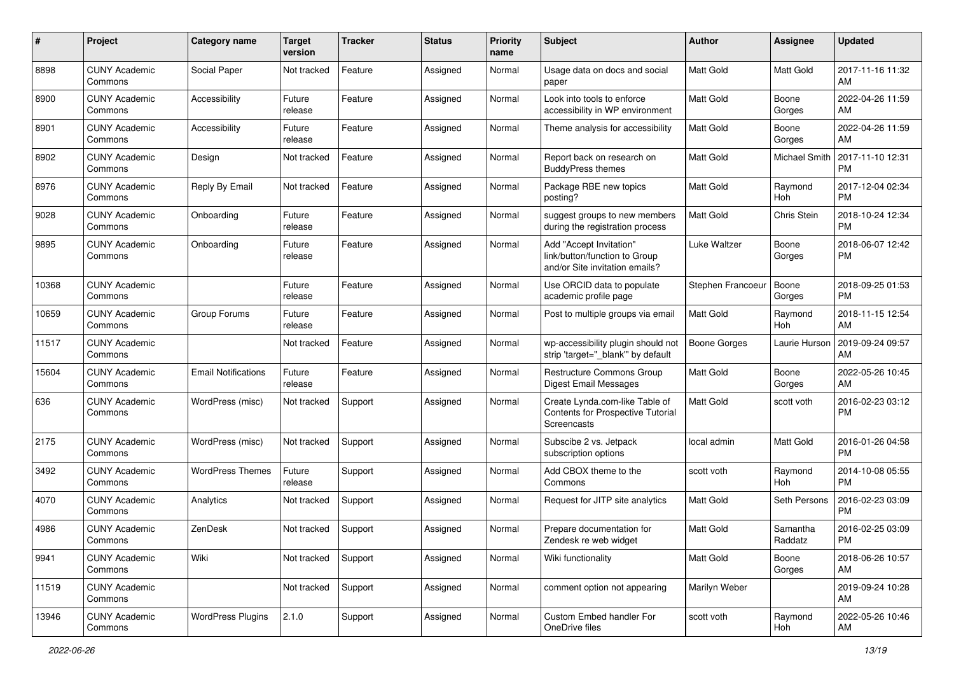| #     | Project                         | <b>Category name</b>       | <b>Target</b><br>version | <b>Tracker</b> | <b>Status</b> | <b>Priority</b><br>name | Subject                                                                                    | Author              | Assignee             | <b>Updated</b>                |
|-------|---------------------------------|----------------------------|--------------------------|----------------|---------------|-------------------------|--------------------------------------------------------------------------------------------|---------------------|----------------------|-------------------------------|
| 8898  | <b>CUNY Academic</b><br>Commons | Social Paper               | Not tracked              | Feature        | Assigned      | Normal                  | Usage data on docs and social<br>paper                                                     | <b>Matt Gold</b>    | Matt Gold            | 2017-11-16 11:32<br>AM        |
| 8900  | <b>CUNY Academic</b><br>Commons | Accessibility              | Future<br>release        | Feature        | Assigned      | Normal                  | Look into tools to enforce<br>accessibility in WP environment                              | Matt Gold           | Boone<br>Gorges      | 2022-04-26 11:59<br>AM        |
| 8901  | <b>CUNY Academic</b><br>Commons | Accessibility              | Future<br>release        | Feature        | Assigned      | Normal                  | Theme analysis for accessibility                                                           | Matt Gold           | Boone<br>Gorges      | 2022-04-26 11:59<br>AM        |
| 8902  | <b>CUNY Academic</b><br>Commons | Design                     | Not tracked              | Feature        | Assigned      | Normal                  | Report back on research on<br><b>BuddyPress themes</b>                                     | <b>Matt Gold</b>    | <b>Michael Smith</b> | 2017-11-10 12:31<br><b>PM</b> |
| 8976  | <b>CUNY Academic</b><br>Commons | Reply By Email             | Not tracked              | Feature        | Assigned      | Normal                  | Package RBE new topics<br>posting?                                                         | <b>Matt Gold</b>    | Raymond<br>Hoh       | 2017-12-04 02:34<br><b>PM</b> |
| 9028  | <b>CUNY Academic</b><br>Commons | Onboarding                 | Future<br>release        | Feature        | Assigned      | Normal                  | suggest groups to new members<br>during the registration process                           | <b>Matt Gold</b>    | Chris Stein          | 2018-10-24 12:34<br><b>PM</b> |
| 9895  | <b>CUNY Academic</b><br>Commons | Onboarding                 | Future<br>release        | Feature        | Assigned      | Normal                  | Add "Accept Invitation"<br>link/button/function to Group<br>and/or Site invitation emails? | Luke Waltzer        | Boone<br>Gorges      | 2018-06-07 12:42<br><b>PM</b> |
| 10368 | <b>CUNY Academic</b><br>Commons |                            | Future<br>release        | Feature        | Assigned      | Normal                  | Use ORCID data to populate<br>academic profile page                                        | Stephen Francoeur   | Boone<br>Gorges      | 2018-09-25 01:53<br><b>PM</b> |
| 10659 | <b>CUNY Academic</b><br>Commons | Group Forums               | Future<br>release        | Feature        | Assigned      | Normal                  | Post to multiple groups via email                                                          | Matt Gold           | Raymond<br>Hoh       | 2018-11-15 12:54<br>AM        |
| 11517 | <b>CUNY Academic</b><br>Commons |                            | Not tracked              | Feature        | Assigned      | Normal                  | wp-accessibility plugin should not<br>strip 'target="_blank" by default                    | <b>Boone Gorges</b> | Laurie Hurson        | 2019-09-24 09:57<br>AM        |
| 15604 | <b>CUNY Academic</b><br>Commons | <b>Email Notifications</b> | Future<br>release        | Feature        | Assigned      | Normal                  | Restructure Commons Group<br><b>Digest Email Messages</b>                                  | <b>Matt Gold</b>    | Boone<br>Gorges      | 2022-05-26 10:45<br>AM        |
| 636   | <b>CUNY Academic</b><br>Commons | WordPress (misc)           | Not tracked              | Support        | Assigned      | Normal                  | Create Lynda.com-like Table of<br>Contents for Prospective Tutorial<br>Screencasts         | Matt Gold           | scott voth           | 2016-02-23 03:12<br><b>PM</b> |
| 2175  | <b>CUNY Academic</b><br>Commons | WordPress (misc)           | Not tracked              | Support        | Assigned      | Normal                  | Subscibe 2 vs. Jetpack<br>subscription options                                             | local admin         | Matt Gold            | 2016-01-26 04:58<br><b>PM</b> |
| 3492  | <b>CUNY Academic</b><br>Commons | <b>WordPress Themes</b>    | Future<br>release        | Support        | Assigned      | Normal                  | Add CBOX theme to the<br>Commons                                                           | scott voth          | Raymond<br>Hoh       | 2014-10-08 05:55<br><b>PM</b> |
| 4070  | <b>CUNY Academic</b><br>Commons | Analytics                  | Not tracked              | Support        | Assigned      | Normal                  | Request for JITP site analytics                                                            | Matt Gold           | Seth Persons         | 2016-02-23 03:09<br><b>PM</b> |
| 4986  | <b>CUNY Academic</b><br>Commons | ZenDesk                    | Not tracked              | Support        | Assigned      | Normal                  | Prepare documentation for<br>Zendesk re web widget                                         | Matt Gold           | Samantha<br>Raddatz  | 2016-02-25 03:09<br>PM        |
| 9941  | <b>CUNY Academic</b><br>Commons | Wiki                       | Not tracked              | Support        | Assigned      | Normal                  | Wiki functionality                                                                         | Matt Gold           | Boone<br>Gorges      | 2018-06-26 10:57<br>AM        |
| 11519 | <b>CUNY Academic</b><br>Commons |                            | Not tracked              | Support        | Assigned      | Normal                  | comment option not appearing                                                               | Marilyn Weber       |                      | 2019-09-24 10:28<br>AM        |
| 13946 | <b>CUNY Academic</b><br>Commons | <b>WordPress Plugins</b>   | 2.1.0                    | Support        | Assigned      | Normal                  | Custom Embed handler For<br>OneDrive files                                                 | scott voth          | Raymond<br>Hoh       | 2022-05-26 10:46<br>AM        |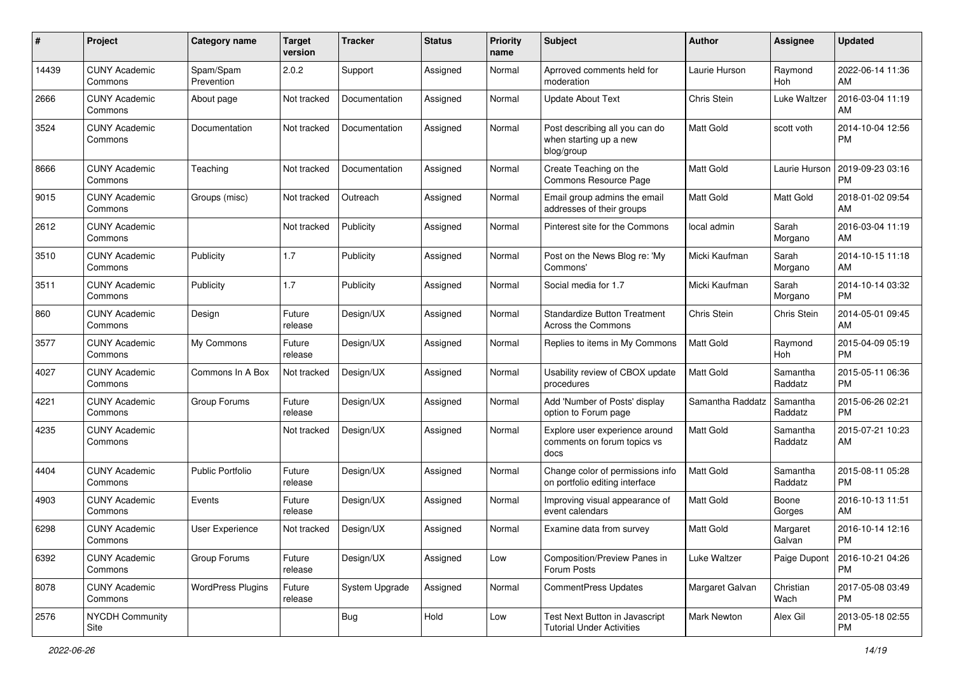| #     | Project                         | <b>Category name</b>     | <b>Target</b><br>version | <b>Tracker</b> | <b>Status</b> | <b>Priority</b><br>name | Subject                                                                | Author           | <b>Assignee</b>     | <b>Updated</b>                |
|-------|---------------------------------|--------------------------|--------------------------|----------------|---------------|-------------------------|------------------------------------------------------------------------|------------------|---------------------|-------------------------------|
| 14439 | <b>CUNY Academic</b><br>Commons | Spam/Spam<br>Prevention  | 2.0.2                    | Support        | Assigned      | Normal                  | Aprroved comments held for<br>moderation                               | Laurie Hurson    | Raymond<br>Hoh      | 2022-06-14 11:36<br>AM        |
| 2666  | <b>CUNY Academic</b><br>Commons | About page               | Not tracked              | Documentation  | Assigned      | Normal                  | <b>Update About Text</b>                                               | Chris Stein      | Luke Waltzer        | 2016-03-04 11:19<br>AM        |
| 3524  | <b>CUNY Academic</b><br>Commons | Documentation            | Not tracked              | Documentation  | Assigned      | Normal                  | Post describing all you can do<br>when starting up a new<br>blog/group | Matt Gold        | scott voth          | 2014-10-04 12:56<br><b>PM</b> |
| 8666  | <b>CUNY Academic</b><br>Commons | Teaching                 | Not tracked              | Documentation  | Assigned      | Normal                  | Create Teaching on the<br>Commons Resource Page                        | <b>Matt Gold</b> | Laurie Hurson       | 2019-09-23 03:16<br><b>PM</b> |
| 9015  | <b>CUNY Academic</b><br>Commons | Groups (misc)            | Not tracked              | Outreach       | Assigned      | Normal                  | Email group admins the email<br>addresses of their groups              | <b>Matt Gold</b> | Matt Gold           | 2018-01-02 09:54<br>AM        |
| 2612  | <b>CUNY Academic</b><br>Commons |                          | Not tracked              | Publicity      | Assigned      | Normal                  | Pinterest site for the Commons                                         | local admin      | Sarah<br>Morgano    | 2016-03-04 11:19<br>AM        |
| 3510  | <b>CUNY Academic</b><br>Commons | Publicity                | 1.7                      | Publicity      | Assigned      | Normal                  | Post on the News Blog re: 'My<br>Commons'                              | Micki Kaufman    | Sarah<br>Morgano    | 2014-10-15 11:18<br>AM        |
| 3511  | <b>CUNY Academic</b><br>Commons | Publicity                | 1.7                      | Publicity      | Assigned      | Normal                  | Social media for 1.7                                                   | Micki Kaufman    | Sarah<br>Morgano    | 2014-10-14 03:32<br>PM        |
| 860   | <b>CUNY Academic</b><br>Commons | Design                   | Future<br>release        | Design/UX      | Assigned      | Normal                  | <b>Standardize Button Treatment</b><br>Across the Commons              | Chris Stein      | Chris Stein         | 2014-05-01 09:45<br>AM        |
| 3577  | <b>CUNY Academic</b><br>Commons | My Commons               | Future<br>release        | Design/UX      | Assigned      | Normal                  | Replies to items in My Commons                                         | Matt Gold        | Raymond<br>Hoh      | 2015-04-09 05:19<br><b>PM</b> |
| 4027  | <b>CUNY Academic</b><br>Commons | Commons In A Box         | Not tracked              | Design/UX      | Assigned      | Normal                  | Usability review of CBOX update<br>procedures                          | <b>Matt Gold</b> | Samantha<br>Raddatz | 2015-05-11 06:36<br><b>PM</b> |
| 4221  | <b>CUNY Academic</b><br>Commons | Group Forums             | Future<br>release        | Design/UX      | Assigned      | Normal                  | Add 'Number of Posts' display<br>option to Forum page                  | Samantha Raddatz | Samantha<br>Raddatz | 2015-06-26 02:21<br><b>PM</b> |
| 4235  | <b>CUNY Academic</b><br>Commons |                          | Not tracked              | Design/UX      | Assigned      | Normal                  | Explore user experience around<br>comments on forum topics vs<br>docs  | <b>Matt Gold</b> | Samantha<br>Raddatz | 2015-07-21 10:23<br>AM        |
| 4404  | <b>CUNY Academic</b><br>Commons | <b>Public Portfolio</b>  | Future<br>release        | Design/UX      | Assigned      | Normal                  | Change color of permissions info<br>on portfolio editing interface     | <b>Matt Gold</b> | Samantha<br>Raddatz | 2015-08-11 05:28<br><b>PM</b> |
| 4903  | <b>CUNY Academic</b><br>Commons | Events                   | Future<br>release        | Design/UX      | Assigned      | Normal                  | Improving visual appearance of<br>event calendars                      | Matt Gold        | Boone<br>Gorges     | 2016-10-13 11:51<br>AM        |
| 6298  | <b>CUNY Academic</b><br>Commons | User Experience          | Not tracked              | Design/UX      | Assigned      | Normal                  | Examine data from survey                                               | Matt Gold        | Margaret<br>Galvan  | 2016-10-14 12:16<br>PM        |
| 6392  | <b>CUNY Academic</b><br>Commons | Group Forums             | Future<br>release        | Design/UX      | Assigned      | Low                     | Composition/Preview Panes in<br>Forum Posts                            | Luke Waltzer     | Paige Dupont        | 2016-10-21 04:26<br><b>PM</b> |
| 8078  | <b>CUNY Academic</b><br>Commons | <b>WordPress Plugins</b> | Future<br>release        | System Upgrade | Assigned      | Normal                  | CommentPress Updates                                                   | Margaret Galvan  | Christian<br>Wach   | 2017-05-08 03:49<br><b>PM</b> |
| 2576  | <b>NYCDH Community</b><br>Site  |                          |                          | <b>Bug</b>     | Hold          | Low                     | Test Next Button in Javascript<br><b>Tutorial Under Activities</b>     | Mark Newton      | Alex Gil            | 2013-05-18 02:55<br><b>PM</b> |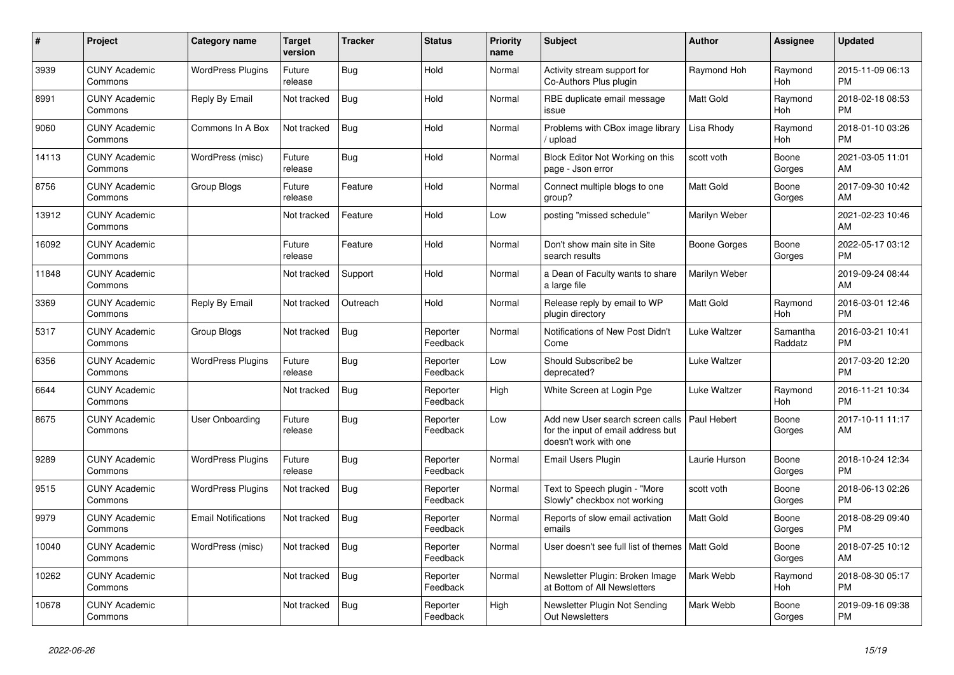| #     | <b>Project</b>                  | Category name              | Target<br>version | <b>Tracker</b> | <b>Status</b>        | <b>Priority</b><br>name | <b>Subject</b>                                                                                  | <b>Author</b>    | Assignee              | <b>Updated</b>                |
|-------|---------------------------------|----------------------------|-------------------|----------------|----------------------|-------------------------|-------------------------------------------------------------------------------------------------|------------------|-----------------------|-------------------------------|
| 3939  | <b>CUNY Academic</b><br>Commons | <b>WordPress Plugins</b>   | Future<br>release | <b>Bug</b>     | Hold                 | Normal                  | Activity stream support for<br>Co-Authors Plus plugin                                           | Raymond Hoh      | Raymond<br><b>Hoh</b> | 2015-11-09 06:13<br><b>PM</b> |
| 8991  | <b>CUNY Academic</b><br>Commons | Reply By Email             | Not tracked       | <b>Bug</b>     | Hold                 | Normal                  | RBE duplicate email message<br>issue                                                            | <b>Matt Gold</b> | Raymond<br>Hoh        | 2018-02-18 08:53<br><b>PM</b> |
| 9060  | <b>CUNY Academic</b><br>Commons | Commons In A Box           | Not tracked       | <b>Bug</b>     | Hold                 | Normal                  | Problems with CBox image library<br>/ upload                                                    | Lisa Rhody       | Raymond<br>Hoh        | 2018-01-10 03:26<br><b>PM</b> |
| 14113 | <b>CUNY Academic</b><br>Commons | WordPress (misc)           | Future<br>release | <b>Bug</b>     | Hold                 | Normal                  | Block Editor Not Working on this<br>page - Json error                                           | scott voth       | Boone<br>Gorges       | 2021-03-05 11:01<br>AM        |
| 8756  | <b>CUNY Academic</b><br>Commons | Group Blogs                | Future<br>release | Feature        | Hold                 | Normal                  | Connect multiple blogs to one<br>group?                                                         | Matt Gold        | Boone<br>Gorges       | 2017-09-30 10:42<br>AM        |
| 13912 | <b>CUNY Academic</b><br>Commons |                            | Not tracked       | Feature        | Hold                 | Low                     | posting "missed schedule"                                                                       | Marilyn Weber    |                       | 2021-02-23 10:46<br>AM        |
| 16092 | <b>CUNY Academic</b><br>Commons |                            | Future<br>release | Feature        | Hold                 | Normal                  | Don't show main site in Site<br>search results                                                  | Boone Gorges     | Boone<br>Gorges       | 2022-05-17 03:12<br><b>PM</b> |
| 11848 | <b>CUNY Academic</b><br>Commons |                            | Not tracked       | Support        | Hold                 | Normal                  | a Dean of Faculty wants to share<br>a large file                                                | Marilyn Weber    |                       | 2019-09-24 08:44<br>AM        |
| 3369  | <b>CUNY Academic</b><br>Commons | Reply By Email             | Not tracked       | Outreach       | Hold                 | Normal                  | Release reply by email to WP<br>plugin directory                                                | Matt Gold        | Raymond<br>Hoh        | 2016-03-01 12:46<br><b>PM</b> |
| 5317  | <b>CUNY Academic</b><br>Commons | Group Blogs                | Not tracked       | <b>Bug</b>     | Reporter<br>Feedback | Normal                  | Notifications of New Post Didn't<br>Come                                                        | Luke Waltzer     | Samantha<br>Raddatz   | 2016-03-21 10:41<br><b>PM</b> |
| 6356  | <b>CUNY Academic</b><br>Commons | <b>WordPress Plugins</b>   | Future<br>release | Bug            | Reporter<br>Feedback | Low                     | Should Subscribe2 be<br>deprecated?                                                             | Luke Waltzer     |                       | 2017-03-20 12:20<br><b>PM</b> |
| 6644  | <b>CUNY Academic</b><br>Commons |                            | Not tracked       | Bug            | Reporter<br>Feedback | High                    | White Screen at Login Pge                                                                       | Luke Waltzer     | Raymond<br>Hoh        | 2016-11-21 10:34<br><b>PM</b> |
| 8675  | <b>CUNY Academic</b><br>Commons | <b>User Onboarding</b>     | Future<br>release | Bug            | Reporter<br>Feedback | Low                     | Add new User search screen calls<br>for the input of email address but<br>doesn't work with one | Paul Hebert      | Boone<br>Gorges       | 2017-10-11 11:17<br>AM        |
| 9289  | <b>CUNY Academic</b><br>Commons | <b>WordPress Plugins</b>   | Future<br>release | Bug            | Reporter<br>Feedback | Normal                  | Email Users Plugin                                                                              | Laurie Hurson    | Boone<br>Gorges       | 2018-10-24 12:34<br><b>PM</b> |
| 9515  | <b>CUNY Academic</b><br>Commons | <b>WordPress Plugins</b>   | Not tracked       | <b>Bug</b>     | Reporter<br>Feedback | Normal                  | Text to Speech plugin - "More<br>Slowly" checkbox not working                                   | scott voth       | Boone<br>Gorges       | 2018-06-13 02:26<br><b>PM</b> |
| 9979  | <b>CUNY Academic</b><br>Commons | <b>Email Notifications</b> | Not tracked       | <b>Bug</b>     | Reporter<br>Feedback | Normal                  | Reports of slow email activation<br>emails                                                      | <b>Matt Gold</b> | Boone<br>Gorges       | 2018-08-29 09:40<br><b>PM</b> |
| 10040 | <b>CUNY Academic</b><br>Commons | WordPress (misc)           | Not tracked       | Bug            | Reporter<br>Feedback | Normal                  | User doesn't see full list of themes   Matt Gold                                                |                  | Boone<br>Gorges       | 2018-07-25 10:12<br>AM        |
| 10262 | <b>CUNY Academic</b><br>Commons |                            | Not tracked       | <b>Bug</b>     | Reporter<br>Feedback | Normal                  | Newsletter Plugin: Broken Image<br>at Bottom of All Newsletters                                 | Mark Webb        | Raymond<br>Hoh        | 2018-08-30 05:17<br><b>PM</b> |
| 10678 | <b>CUNY Academic</b><br>Commons |                            | Not tracked       | <b>Bug</b>     | Reporter<br>Feedback | High                    | Newsletter Plugin Not Sending<br><b>Out Newsletters</b>                                         | Mark Webb        | Boone<br>Gorges       | 2019-09-16 09:38<br><b>PM</b> |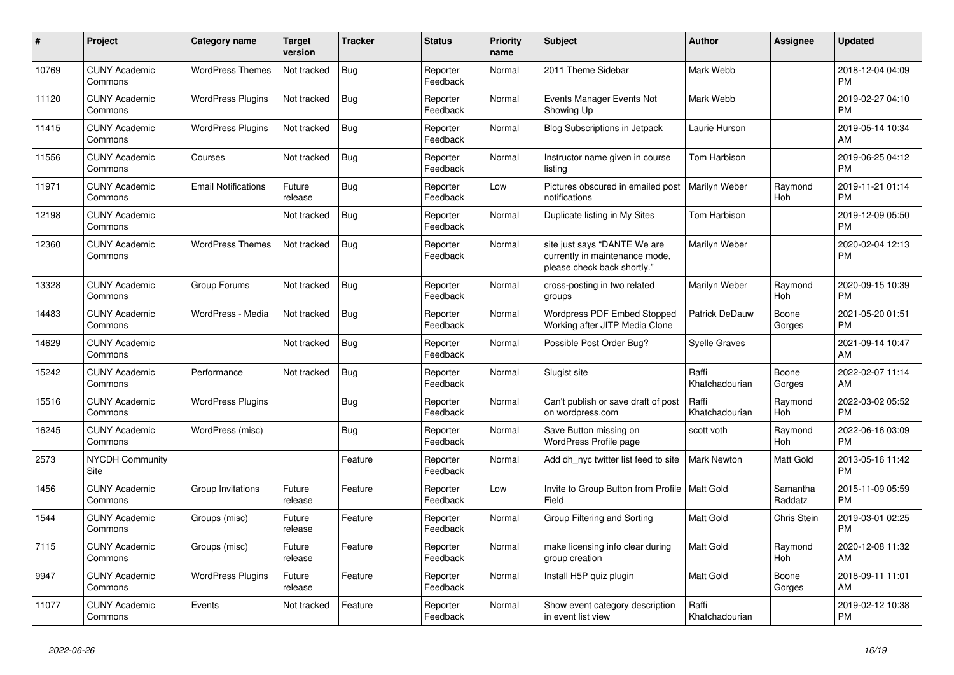| #     | Project                         | Category name              | <b>Target</b><br>version | <b>Tracker</b> | <b>Status</b>        | <b>Priority</b><br>name | <b>Subject</b>                                                                                | <b>Author</b>           | <b>Assignee</b>       | <b>Updated</b>                |
|-------|---------------------------------|----------------------------|--------------------------|----------------|----------------------|-------------------------|-----------------------------------------------------------------------------------------------|-------------------------|-----------------------|-------------------------------|
| 10769 | <b>CUNY Academic</b><br>Commons | <b>WordPress Themes</b>    | Not tracked              | <b>Bug</b>     | Reporter<br>Feedback | Normal                  | 2011 Theme Sidebar                                                                            | Mark Webb               |                       | 2018-12-04 04:09<br><b>PM</b> |
| 11120 | <b>CUNY Academic</b><br>Commons | WordPress Plugins          | Not tracked              | Bug            | Reporter<br>Feedback | Normal                  | Events Manager Events Not<br>Showing Up                                                       | Mark Webb               |                       | 2019-02-27 04:10<br><b>PM</b> |
| 11415 | <b>CUNY Academic</b><br>Commons | <b>WordPress Plugins</b>   | Not tracked              | <b>Bug</b>     | Reporter<br>Feedback | Normal                  | <b>Blog Subscriptions in Jetpack</b>                                                          | Laurie Hurson           |                       | 2019-05-14 10:34<br>AM        |
| 11556 | <b>CUNY Academic</b><br>Commons | Courses                    | Not tracked              | <b>Bug</b>     | Reporter<br>Feedback | Normal                  | Instructor name given in course<br>listing                                                    | Tom Harbison            |                       | 2019-06-25 04:12<br><b>PM</b> |
| 11971 | <b>CUNY Academic</b><br>Commons | <b>Email Notifications</b> | Future<br>release        | Bug            | Reporter<br>Feedback | Low                     | Pictures obscured in emailed post<br>notifications                                            | Marilyn Weber           | Raymond<br>Hoh        | 2019-11-21 01:14<br><b>PM</b> |
| 12198 | <b>CUNY Academic</b><br>Commons |                            | Not tracked              | <b>Bug</b>     | Reporter<br>Feedback | Normal                  | Duplicate listing in My Sites                                                                 | Tom Harbison            |                       | 2019-12-09 05:50<br><b>PM</b> |
| 12360 | <b>CUNY Academic</b><br>Commons | <b>WordPress Themes</b>    | Not tracked              | Bug            | Reporter<br>Feedback | Normal                  | site just says "DANTE We are<br>currently in maintenance mode,<br>please check back shortly." | Marilyn Weber           |                       | 2020-02-04 12:13<br><b>PM</b> |
| 13328 | <b>CUNY Academic</b><br>Commons | Group Forums               | Not tracked              | Bug            | Reporter<br>Feedback | Normal                  | cross-posting in two related<br>groups                                                        | Marilyn Weber           | Raymond<br><b>Hoh</b> | 2020-09-15 10:39<br><b>PM</b> |
| 14483 | <b>CUNY Academic</b><br>Commons | WordPress - Media          | Not tracked              | Bug            | Reporter<br>Feedback | Normal                  | Wordpress PDF Embed Stopped<br>Working after JITP Media Clone                                 | Patrick DeDauw          | Boone<br>Gorges       | 2021-05-20 01:51<br><b>PM</b> |
| 14629 | <b>CUNY Academic</b><br>Commons |                            | Not tracked              | <b>Bug</b>     | Reporter<br>Feedback | Normal                  | Possible Post Order Bug?                                                                      | <b>Syelle Graves</b>    |                       | 2021-09-14 10:47<br>AM        |
| 15242 | <b>CUNY Academic</b><br>Commons | Performance                | Not tracked              | Bug            | Reporter<br>Feedback | Normal                  | Slugist site                                                                                  | Raffi<br>Khatchadourian | Boone<br>Gorges       | 2022-02-07 11:14<br>AM        |
| 15516 | <b>CUNY Academic</b><br>Commons | <b>WordPress Plugins</b>   |                          | <b>Bug</b>     | Reporter<br>Feedback | Normal                  | Can't publish or save draft of post<br>on wordpress.com                                       | Raffi<br>Khatchadourian | Raymond<br>Hoh        | 2022-03-02 05:52<br><b>PM</b> |
| 16245 | <b>CUNY Academic</b><br>Commons | WordPress (misc)           |                          | Bug            | Reporter<br>Feedback | Normal                  | Save Button missing on<br>WordPress Profile page                                              | scott voth              | Raymond<br>Hoh        | 2022-06-16 03:09<br><b>PM</b> |
| 2573  | <b>NYCDH Community</b><br>Site  |                            |                          | Feature        | Reporter<br>Feedback | Normal                  | Add dh nyc twitter list feed to site                                                          | <b>Mark Newton</b>      | Matt Gold             | 2013-05-16 11:42<br><b>PM</b> |
| 1456  | <b>CUNY Academic</b><br>Commons | Group Invitations          | Future<br>release        | Feature        | Reporter<br>Feedback | Low                     | Invite to Group Button from Profile   Matt Gold<br>Field                                      |                         | Samantha<br>Raddatz   | 2015-11-09 05:59<br><b>PM</b> |
| 1544  | <b>CUNY Academic</b><br>Commons | Groups (misc)              | Future<br>release        | Feature        | Reporter<br>Feedback | Normal                  | Group Filtering and Sorting                                                                   | Matt Gold               | Chris Stein           | 2019-03-01 02:25<br><b>PM</b> |
| 7115  | <b>CUNY Academic</b><br>Commons | Groups (misc)              | Future<br>release        | Feature        | Reporter<br>Feedback | Normal                  | make licensing info clear during<br>group creation                                            | <b>Matt Gold</b>        | Raymond<br><b>Hoh</b> | 2020-12-08 11:32<br>AM        |
| 9947  | <b>CUNY Academic</b><br>Commons | <b>WordPress Plugins</b>   | Future<br>release        | Feature        | Reporter<br>Feedback | Normal                  | Install H5P quiz plugin                                                                       | <b>Matt Gold</b>        | Boone<br>Gorges       | 2018-09-11 11:01<br>AM        |
| 11077 | <b>CUNY Academic</b><br>Commons | Events                     | Not tracked              | Feature        | Reporter<br>Feedback | Normal                  | Show event category description<br>in event list view                                         | Raffi<br>Khatchadourian |                       | 2019-02-12 10:38<br><b>PM</b> |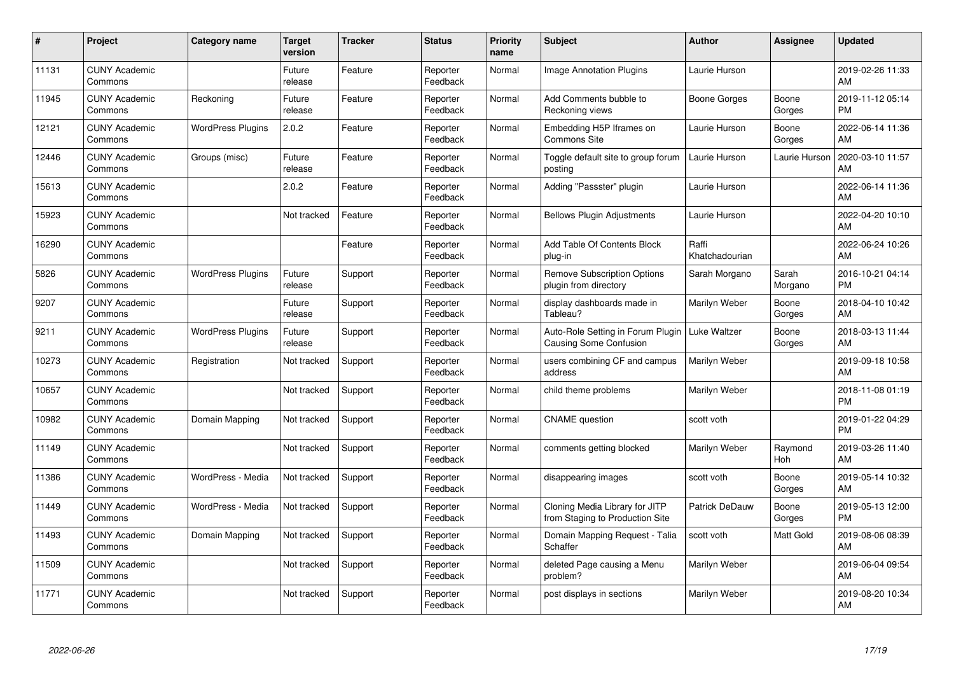| #     | Project                         | <b>Category name</b>     | <b>Target</b><br>version | <b>Tracker</b> | <b>Status</b>        | <b>Priority</b><br>name | <b>Subject</b>                                                     | Author                  | <b>Assignee</b>  | <b>Updated</b>                |
|-------|---------------------------------|--------------------------|--------------------------|----------------|----------------------|-------------------------|--------------------------------------------------------------------|-------------------------|------------------|-------------------------------|
| 11131 | <b>CUNY Academic</b><br>Commons |                          | Future<br>release        | Feature        | Reporter<br>Feedback | Normal                  | <b>Image Annotation Plugins</b>                                    | Laurie Hurson           |                  | 2019-02-26 11:33<br>AM        |
| 11945 | <b>CUNY Academic</b><br>Commons | Reckoning                | Future<br>release        | Feature        | Reporter<br>Feedback | Normal                  | Add Comments bubble to<br>Reckoning views                          | <b>Boone Gorges</b>     | Boone<br>Gorges  | 2019-11-12 05:14<br><b>PM</b> |
| 12121 | <b>CUNY Academic</b><br>Commons | <b>WordPress Plugins</b> | 2.0.2                    | Feature        | Reporter<br>Feedback | Normal                  | Embedding H5P Iframes on<br><b>Commons Site</b>                    | Laurie Hurson           | Boone<br>Gorges  | 2022-06-14 11:36<br>AM        |
| 12446 | <b>CUNY Academic</b><br>Commons | Groups (misc)            | Future<br>release        | Feature        | Reporter<br>Feedback | Normal                  | Toggle default site to group forum<br>posting                      | Laurie Hurson           | Laurie Hurson    | 2020-03-10 11:57<br>AM        |
| 15613 | <b>CUNY Academic</b><br>Commons |                          | 2.0.2                    | Feature        | Reporter<br>Feedback | Normal                  | Adding "Passster" plugin                                           | Laurie Hurson           |                  | 2022-06-14 11:36<br>AM        |
| 15923 | <b>CUNY Academic</b><br>Commons |                          | Not tracked              | Feature        | Reporter<br>Feedback | Normal                  | <b>Bellows Plugin Adjustments</b>                                  | Laurie Hurson           |                  | 2022-04-20 10:10<br>AM        |
| 16290 | <b>CUNY Academic</b><br>Commons |                          |                          | Feature        | Reporter<br>Feedback | Normal                  | Add Table Of Contents Block<br>plug-in                             | Raffi<br>Khatchadourian |                  | 2022-06-24 10:26<br>AM        |
| 5826  | <b>CUNY Academic</b><br>Commons | <b>WordPress Plugins</b> | Future<br>release        | Support        | Reporter<br>Feedback | Normal                  | <b>Remove Subscription Options</b><br>plugin from directory        | Sarah Morgano           | Sarah<br>Morgano | 2016-10-21 04:14<br><b>PM</b> |
| 9207  | <b>CUNY Academic</b><br>Commons |                          | Future<br>release        | Support        | Reporter<br>Feedback | Normal                  | display dashboards made in<br>Tableau?                             | Marilyn Weber           | Boone<br>Gorges  | 2018-04-10 10:42<br>AM        |
| 9211  | <b>CUNY Academic</b><br>Commons | <b>WordPress Plugins</b> | Future<br>release        | Support        | Reporter<br>Feedback | Normal                  | Auto-Role Setting in Forum Plugin<br><b>Causing Some Confusion</b> | Luke Waltzer            | Boone<br>Gorges  | 2018-03-13 11:44<br>AM        |
| 10273 | <b>CUNY Academic</b><br>Commons | Registration             | Not tracked              | Support        | Reporter<br>Feedback | Normal                  | users combining CF and campus<br>address                           | Marilyn Weber           |                  | 2019-09-18 10:58<br>AM        |
| 10657 | <b>CUNY Academic</b><br>Commons |                          | Not tracked              | Support        | Reporter<br>Feedback | Normal                  | child theme problems                                               | Marilyn Weber           |                  | 2018-11-08 01:19<br><b>PM</b> |
| 10982 | <b>CUNY Academic</b><br>Commons | Domain Mapping           | Not tracked              | Support        | Reporter<br>Feedback | Normal                  | <b>CNAME</b> question                                              | scott voth              |                  | 2019-01-22 04:29<br><b>PM</b> |
| 11149 | <b>CUNY Academic</b><br>Commons |                          | Not tracked              | Support        | Reporter<br>Feedback | Normal                  | comments getting blocked                                           | Marilyn Weber           | Raymond<br>Hoh   | 2019-03-26 11:40<br>AM        |
| 11386 | <b>CUNY Academic</b><br>Commons | WordPress - Media        | Not tracked              | Support        | Reporter<br>Feedback | Normal                  | disappearing images                                                | scott voth              | Boone<br>Gorges  | 2019-05-14 10:32<br>AM        |
| 11449 | <b>CUNY Academic</b><br>Commons | WordPress - Media        | Not tracked              | Support        | Reporter<br>Feedback | Normal                  | Cloning Media Library for JITP<br>from Staging to Production Site  | Patrick DeDauw          | Boone<br>Gorges  | 2019-05-13 12:00<br><b>PM</b> |
| 11493 | <b>CUNY Academic</b><br>Commons | Domain Mapping           | Not tracked              | Support        | Reporter<br>Feedback | Normal                  | Domain Mapping Request - Talia<br>Schaffer                         | scott voth              | Matt Gold        | 2019-08-06 08:39<br>AM        |
| 11509 | <b>CUNY Academic</b><br>Commons |                          | Not tracked              | Support        | Reporter<br>Feedback | Normal                  | deleted Page causing a Menu<br>problem?                            | Marilyn Weber           |                  | 2019-06-04 09:54<br>AM        |
| 11771 | <b>CUNY Academic</b><br>Commons |                          | Not tracked              | Support        | Reporter<br>Feedback | Normal                  | post displays in sections                                          | Marilyn Weber           |                  | 2019-08-20 10:34<br>AM        |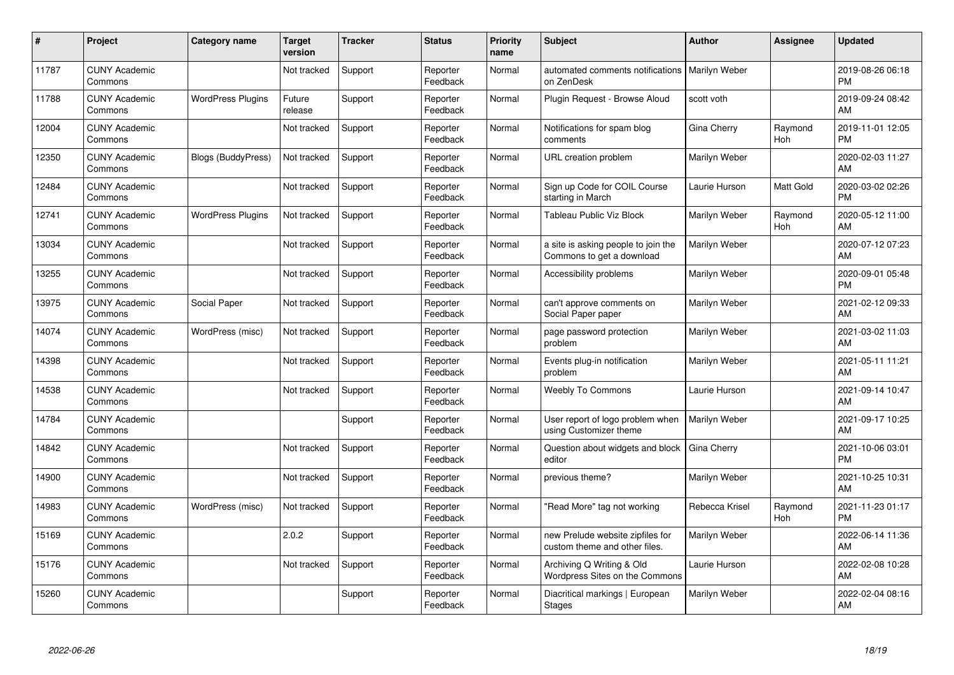| #     | Project                         | Category name            | <b>Target</b><br>version | <b>Tracker</b> | <b>Status</b>        | <b>Priority</b><br>name | <b>Subject</b>                                                    | <b>Author</b>  | <b>Assignee</b>       | <b>Updated</b>                |
|-------|---------------------------------|--------------------------|--------------------------|----------------|----------------------|-------------------------|-------------------------------------------------------------------|----------------|-----------------------|-------------------------------|
| 11787 | <b>CUNY Academic</b><br>Commons |                          | Not tracked              | Support        | Reporter<br>Feedback | Normal                  | automated comments notifications<br>on ZenDesk                    | Marilyn Weber  |                       | 2019-08-26 06:18<br><b>PM</b> |
| 11788 | <b>CUNY Academic</b><br>Commons | <b>WordPress Plugins</b> | Future<br>release        | Support        | Reporter<br>Feedback | Normal                  | Plugin Request - Browse Aloud                                     | scott voth     |                       | 2019-09-24 08:42<br>AM        |
| 12004 | <b>CUNY Academic</b><br>Commons |                          | Not tracked              | Support        | Reporter<br>Feedback | Normal                  | Notifications for spam blog<br>comments                           | Gina Cherry    | Raymond<br>Hoh        | 2019-11-01 12:05<br><b>PM</b> |
| 12350 | <b>CUNY Academic</b><br>Commons | Blogs (BuddyPress)       | Not tracked              | Support        | Reporter<br>Feedback | Normal                  | URL creation problem                                              | Marilyn Weber  |                       | 2020-02-03 11:27<br>AM        |
| 12484 | <b>CUNY Academic</b><br>Commons |                          | Not tracked              | Support        | Reporter<br>Feedback | Normal                  | Sign up Code for COIL Course<br>starting in March                 | Laurie Hurson  | <b>Matt Gold</b>      | 2020-03-02 02:26<br><b>PM</b> |
| 12741 | <b>CUNY Academic</b><br>Commons | <b>WordPress Plugins</b> | Not tracked              | Support        | Reporter<br>Feedback | Normal                  | Tableau Public Viz Block                                          | Marilyn Weber  | Raymond<br><b>Hoh</b> | 2020-05-12 11:00<br>AM        |
| 13034 | <b>CUNY Academic</b><br>Commons |                          | Not tracked              | Support        | Reporter<br>Feedback | Normal                  | a site is asking people to join the<br>Commons to get a download  | Marilyn Weber  |                       | 2020-07-12 07:23<br>AM        |
| 13255 | <b>CUNY Academic</b><br>Commons |                          | Not tracked              | Support        | Reporter<br>Feedback | Normal                  | Accessibility problems                                            | Marilyn Weber  |                       | 2020-09-01 05:48<br><b>PM</b> |
| 13975 | <b>CUNY Academic</b><br>Commons | Social Paper             | Not tracked              | Support        | Reporter<br>Feedback | Normal                  | can't approve comments on<br>Social Paper paper                   | Marilyn Weber  |                       | 2021-02-12 09:33<br>AM        |
| 14074 | <b>CUNY Academic</b><br>Commons | WordPress (misc)         | Not tracked              | Support        | Reporter<br>Feedback | Normal                  | page password protection<br>problem                               | Marilyn Weber  |                       | 2021-03-02 11:03<br>AM        |
| 14398 | <b>CUNY Academic</b><br>Commons |                          | Not tracked              | Support        | Reporter<br>Feedback | Normal                  | Events plug-in notification<br>problem                            | Marilyn Weber  |                       | 2021-05-11 11:21<br>AM        |
| 14538 | <b>CUNY Academic</b><br>Commons |                          | Not tracked              | Support        | Reporter<br>Feedback | Normal                  | <b>Weebly To Commons</b>                                          | Laurie Hurson  |                       | 2021-09-14 10:47<br>AM        |
| 14784 | <b>CUNY Academic</b><br>Commons |                          |                          | Support        | Reporter<br>Feedback | Normal                  | User report of logo problem when<br>using Customizer theme        | Marilyn Weber  |                       | 2021-09-17 10:25<br>AM        |
| 14842 | <b>CUNY Academic</b><br>Commons |                          | Not tracked              | Support        | Reporter<br>Feedback | Normal                  | Question about widgets and block<br>editor                        | Gina Cherry    |                       | 2021-10-06 03:01<br><b>PM</b> |
| 14900 | <b>CUNY Academic</b><br>Commons |                          | Not tracked              | Support        | Reporter<br>Feedback | Normal                  | previous theme?                                                   | Marilyn Weber  |                       | 2021-10-25 10:31<br>AM        |
| 14983 | <b>CUNY Academic</b><br>Commons | WordPress (misc)         | Not tracked              | Support        | Reporter<br>Feedback | Normal                  | 'Read More" tag not working                                       | Rebecca Krisel | Raymond<br>Hoh        | 2021-11-23 01:17<br><b>PM</b> |
| 15169 | <b>CUNY Academic</b><br>Commons |                          | 2.0.2                    | Support        | Reporter<br>Feedback | Normal                  | new Prelude website zipfiles for<br>custom theme and other files. | Marilyn Weber  |                       | 2022-06-14 11:36<br>AM        |
| 15176 | <b>CUNY Academic</b><br>Commons |                          | Not tracked              | Support        | Reporter<br>Feedback | Normal                  | Archiving Q Writing & Old<br>Wordpress Sites on the Commons       | Laurie Hurson  |                       | 2022-02-08 10:28<br>AM        |
| 15260 | <b>CUNY Academic</b><br>Commons |                          |                          | Support        | Reporter<br>Feedback | Normal                  | Diacritical markings   European<br><b>Stages</b>                  | Marilyn Weber  |                       | 2022-02-04 08:16<br>AM        |